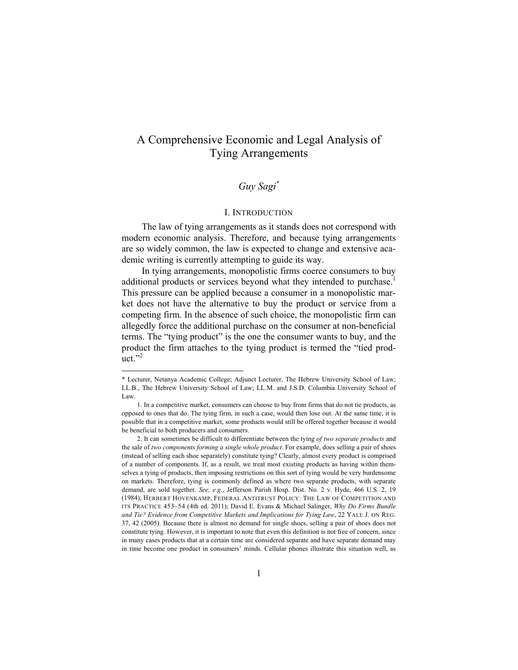# A Comprehensive Economic and Legal Analysis of Tying Arrangements

# *Guy Sagi\**

### I. INTRODUCTION

The law of tying arrangements as it stands does not correspond with modern economic analysis. Therefore, and because tying arrangements are so widely common, the law is expected to change and extensive academic writing is currently attempting to guide its way.

In tying arrangements, monopolistic firms coerce consumers to buy additional products or services beyond what they intended to purchase.<sup>1</sup> This pressure can be applied because a consumer in a monopolistic market does not have the alternative to buy the product or service from a competing firm. In the absence of such choice, the monopolistic firm can allegedly force the additional purchase on the consumer at non-beneficial terms. The "tying product" is the one the consumer wants to buy, and the product the firm attaches to the tying product is termed the "tied prod $uct.$ "<sup>2</sup>

 $\overline{\phantom{a}}$ 

<sup>\*</sup> Lecturer, Netanya Academic College; Adjunct Lecturer, The Hebrew University School of Law; LL.B., The Hebrew University School of Law; LL.M. and J.S.D. Columbia University School of Law.

 <sup>1.</sup> In a competitive market, consumers can choose to buy from firms that do not tie products, as opposed to ones that do. The tying firm, in such a case, would then lose out. At the same time, it is possible that in a competitive market, some products would still be offered together because it would be beneficial to both producers and consumers.

 <sup>2.</sup> It can sometimes be difficult to differentiate between the tying *of two separate products* and the sale of *two components forming a single whole product*. For example, does selling a pair of shoes (instead of selling each shoe separately) constitute tying? Clearly, almost every product is comprised of a number of components. If, as a result, we treat most existing products as having within themselves a tying of products, then imposing restrictions on this sort of tying would be very burdensome on markets. Therefore, tying is commonly defined as where two separate products, with separate demand, are sold together. *See, e.g*., Jefferson Parish Hosp. Dist. No. 2 v. Hyde, 466 U.S. 2, 19 (1984); HERBERT HOVENKAMP, FEDERAL ANTITRUST POLICY: THE LAW OF COMPETITION AND ITS PRACTICE 453–54 (4th ed. 2011); David E. Evans & Michael Salinger, *Why Do Firms Bundle and Tie? Evidence from Competitive Markets and Implications for Tying Law*, 22 YALE J. ON REG. 37, 42 (2005). Because there is almost no demand for single shoes, selling a pair of shoes does not constitute tying. However, it is important to note that even this definition is not free of concern, since in many cases products that at a certain time are considered separate and have separate demand may in time become one product in consumers' minds. Cellular phones illustrate this situation well, as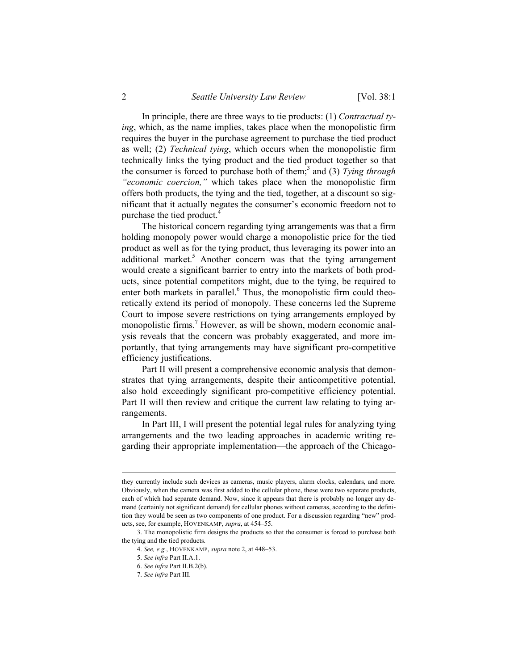In principle, there are three ways to tie products: (1) *Contractual tying*, which, as the name implies, takes place when the monopolistic firm requires the buyer in the purchase agreement to purchase the tied product as well; (2) *Technical tying*, which occurs when the monopolistic firm technically links the tying product and the tied product together so that the consumer is forced to purchase both of them;<sup>3</sup> and (3) *Tying through "economic coercion,"* which takes place when the monopolistic firm offers both products, the tying and the tied, together, at a discount so significant that it actually negates the consumer's economic freedom not to purchase the tied product.<sup>4</sup>

The historical concern regarding tying arrangements was that a firm holding monopoly power would charge a monopolistic price for the tied product as well as for the tying product, thus leveraging its power into an additional market. $5$  Another concern was that the tying arrangement would create a significant barrier to entry into the markets of both products, since potential competitors might, due to the tying, be required to enter both markets in parallel.<sup>6</sup> Thus, the monopolistic firm could theoretically extend its period of monopoly. These concerns led the Supreme Court to impose severe restrictions on tying arrangements employed by monopolistic firms.<sup>7</sup> However, as will be shown, modern economic analysis reveals that the concern was probably exaggerated, and more importantly, that tying arrangements may have significant pro-competitive efficiency justifications.

Part II will present a comprehensive economic analysis that demonstrates that tying arrangements, despite their anticompetitive potential, also hold exceedingly significant pro-competitive efficiency potential. Part II will then review and critique the current law relating to tying arrangements.

In Part III, I will present the potential legal rules for analyzing tying arrangements and the two leading approaches in academic writing regarding their appropriate implementation—the approach of the Chicago-

they currently include such devices as cameras, music players, alarm clocks, calendars, and more. Obviously, when the camera was first added to the cellular phone, these were two separate products, each of which had separate demand. Now, since it appears that there is probably no longer any demand (certainly not significant demand) for cellular phones without cameras, according to the definition they would be seen as two components of one product. For a discussion regarding "new" products, see, for example, HOVENKAMP, *supra*, at 454–55.

 <sup>3.</sup> The monopolistic firm designs the products so that the consumer is forced to purchase both the tying and the tied products.

<sup>4.</sup> *See, e.g.*, HOVENKAMP, *supra* note 2, at 448–53.

<sup>5.</sup> *See infra* Part II.A.1.

<sup>6.</sup> *See infra* Part II.B.2(b).

<sup>7.</sup> *See infra* Part III.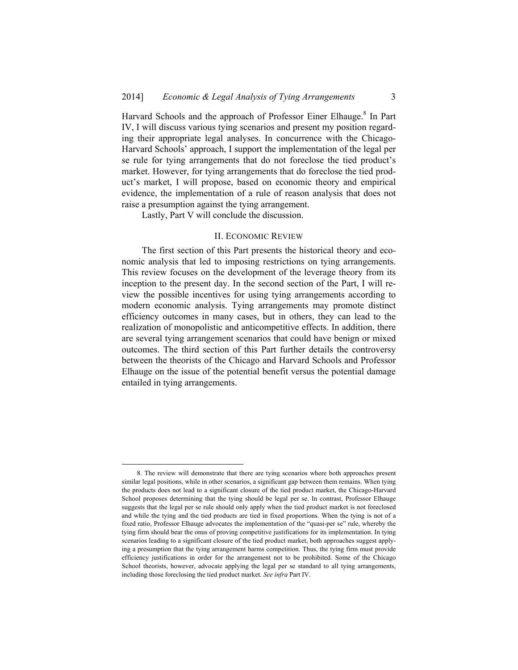Harvard Schools and the approach of Professor Einer Elhauge.<sup>8</sup> In Part IV, I will discuss various tying scenarios and present my position regarding their appropriate legal analyses. In concurrence with the Chicago-Harvard Schools' approach, I support the implementation of the legal per se rule for tying arrangements that do not foreclose the tied product's market. However, for tying arrangements that do foreclose the tied product's market, I will propose, based on economic theory and empirical evidence, the implementation of a rule of reason analysis that does not raise a presumption against the tying arrangement.

Lastly, Part V will conclude the discussion.

#### II. ECONOMIC REVIEW

The first section of this Part presents the historical theory and economic analysis that led to imposing restrictions on tying arrangements. This review focuses on the development of the leverage theory from its inception to the present day. In the second section of the Part, I will review the possible incentives for using tying arrangements according to modern economic analysis. Tying arrangements may promote distinct efficiency outcomes in many cases, but in others, they can lead to the realization of monopolistic and anticompetitive effects. In addition, there are several tying arrangement scenarios that could have benign or mixed outcomes. The third section of this Part further details the controversy between the theorists of the Chicago and Harvard Schools and Professor Elhauge on the issue of the potential benefit versus the potential damage entailed in tying arrangements.

 <sup>8.</sup> The review will demonstrate that there are tying scenarios where both approaches present similar legal positions, while in other scenarios, a significant gap between them remains. When tying the products does not lead to a significant closure of the tied product market, the Chicago-Harvard School proposes determining that the tying should be legal per se. In contrast, Professor Elhauge suggests that the legal per se rule should only apply when the tied product market is not foreclosed and while the tying and the tied products are tied in fixed proportions. When the tying is not of a fixed ratio, Professor Elhauge advocates the implementation of the "quasi-per se" rule, whereby the tying firm should bear the onus of proving competitive justifications for its implementation. In tying scenarios leading to a significant closure of the tied product market, both approaches suggest applying a presumption that the tying arrangement harms competition. Thus, the tying firm must provide efficiency justifications in order for the arrangement not to be prohibited. Some of the Chicago School theorists, however, advocate applying the legal per se standard to all tying arrangements, including those foreclosing the tied product market. *See infra* Part IV.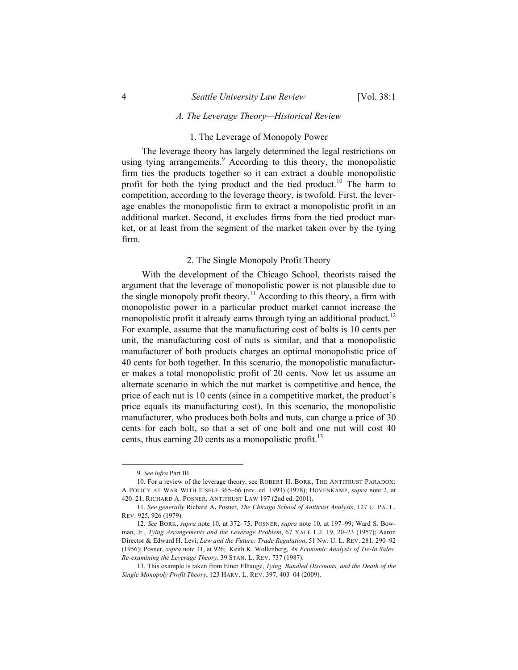### *A. The Leverage Theory—Historical Review*

#### 1. The Leverage of Monopoly Power

The leverage theory has largely determined the legal restrictions on using tying arrangements.<sup>9</sup> According to this theory, the monopolistic firm ties the products together so it can extract a double monopolistic profit for both the tying product and the tied product.<sup>10</sup> The harm to competition, according to the leverage theory, is twofold. First, the leverage enables the monopolistic firm to extract a monopolistic profit in an additional market. Second, it excludes firms from the tied product market, or at least from the segment of the market taken over by the tying firm.

#### 2. The Single Monopoly Profit Theory

With the development of the Chicago School, theorists raised the argument that the leverage of monopolistic power is not plausible due to the single monopoly profit theory.<sup>11</sup> According to this theory, a firm with monopolistic power in a particular product market cannot increase the monopolistic profit it already earns through tying an additional product.<sup>12</sup> For example, assume that the manufacturing cost of bolts is 10 cents per unit, the manufacturing cost of nuts is similar, and that a monopolistic manufacturer of both products charges an optimal monopolistic price of 40 cents for both together. In this scenario, the monopolistic manufacturer makes a total monopolistic profit of 20 cents. Now let us assume an alternate scenario in which the nut market is competitive and hence, the price of each nut is 10 cents (since in a competitive market, the product's price equals its manufacturing cost). In this scenario, the monopolistic manufacturer, who produces both bolts and nuts, can charge a price of 30 cents for each bolt, so that a set of one bolt and one nut will cost 40 cents, thus earning 20 cents as a monopolistic profit.<sup>13</sup>

1

 <sup>9.</sup> *See infra* Part III.

 <sup>10.</sup> For a review of the leverage theory, see ROBERT H. BORK, THE ANTITRUST PARADOX: A POLICY AT WAR WITH ITSELF 365–66 (rev. ed. 1993) (1978); HOVENKAMP, *supra* note 2, at 420–21; RICHARD A. POSNER, ANTITRUST LAW 197 (2nd ed. 2001).

<sup>11.</sup> *See generally* Richard A**.** Posner, *The Chicago School of Antitrust Analysis*, 127 U. PA. L. REV. 925, 926 (1979).

<sup>12.</sup> *See* BORK, *supra* note 10, at 372–75; POSNER, *supra* note 10, at 197–99; Ward S. Bowman, Jr., *Tying Arrangements and the Leverage Problem*, 67 YALE L.J. 19, 20–23 (1957); Aaron Director & Edward H. Levi, *Law and the Future: Trade Regulation*, 51 Nw. U. L. REV. 281, 290–92 (1956); Posner, *supra* note 11, at 926; Keith K. Wollenberg, *An Economic Analysis of Tie-In Sales: Re-examining the Leverage Theory*, 39 STAN. L. REV. 737 (1987).

 <sup>13.</sup> This example is taken from Einer Elhauge, *Tying, Bundled Discounts, and the Death of the Single Monopoly Profit Theory*, 123 HARV. L. REV. 397, 403–04 (2009).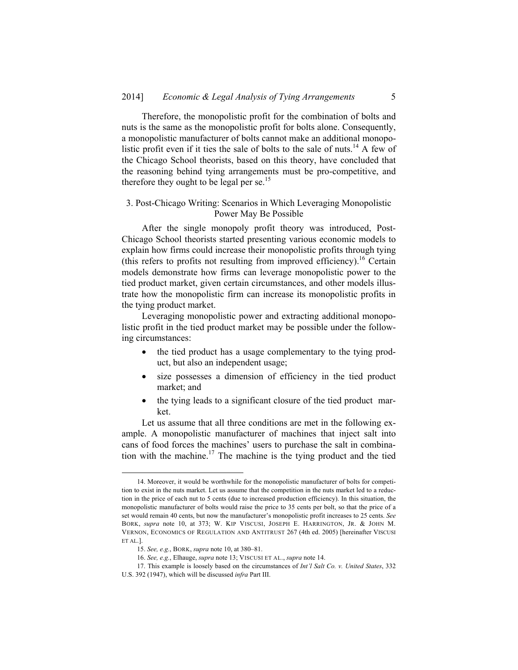Therefore, the monopolistic profit for the combination of bolts and nuts is the same as the monopolistic profit for bolts alone. Consequently, a monopolistic manufacturer of bolts cannot make an additional monopolistic profit even if it ties the sale of bolts to the sale of nuts.<sup>14</sup> A few of the Chicago School theorists, based on this theory, have concluded that the reasoning behind tying arrangements must be pro-competitive, and therefore they ought to be legal per se.<sup>15</sup>

### 3. Post-Chicago Writing: Scenarios in Which Leveraging Monopolistic Power May Be Possible

After the single monopoly profit theory was introduced, Post-Chicago School theorists started presenting various economic models to explain how firms could increase their monopolistic profits through tying (this refers to profits not resulting from improved efficiency).<sup>16</sup> Certain models demonstrate how firms can leverage monopolistic power to the tied product market, given certain circumstances, and other models illustrate how the monopolistic firm can increase its monopolistic profits in the tying product market.

Leveraging monopolistic power and extracting additional monopolistic profit in the tied product market may be possible under the following circumstances:

- the tied product has a usage complementary to the tying product, but also an independent usage;
- size possesses a dimension of efficiency in the tied product market; and
- the tying leads to a significant closure of the tied product market.

Let us assume that all three conditions are met in the following example. A monopolistic manufacturer of machines that inject salt into cans of food forces the machines' users to purchase the salt in combination with the machine.<sup>17</sup> The machine is the tying product and the tied

 <sup>14.</sup> Moreover, it would be worthwhile for the monopolistic manufacturer of bolts for competition to exist in the nuts market. Let us assume that the competition in the nuts market led to a reduction in the price of each nut to 5 cents (due to increased production efficiency). In this situation, the monopolistic manufacturer of bolts would raise the price to 35 cents per bolt, so that the price of a set would remain 40 cents, but now the manufacturer's monopolistic profit increases to 25 cents. *See*  BORK, *supra* note 10, at 373; W. KIP VISCUSI, JOSEPH E. HARRINGTON, JR. & JOHN M. VERNON, ECONOMICS OF REGULATION AND ANTITRUST 267 (4th ed. 2005) [hereinafter VISCUSI ET AL.].

<sup>15.</sup> *See, e.g.*, BORK, *supra* note 10, at 380–81.

<sup>16.</sup> *See, e.g.*, Elhauge, *supra* note 13; VISCUSI ET AL., *supra* note 14.

 <sup>17.</sup> This example is loosely based on the circumstances of *Int'l Salt Co. v. United States*, 332 U.S. 392 (1947), which will be discussed *infra* Part III.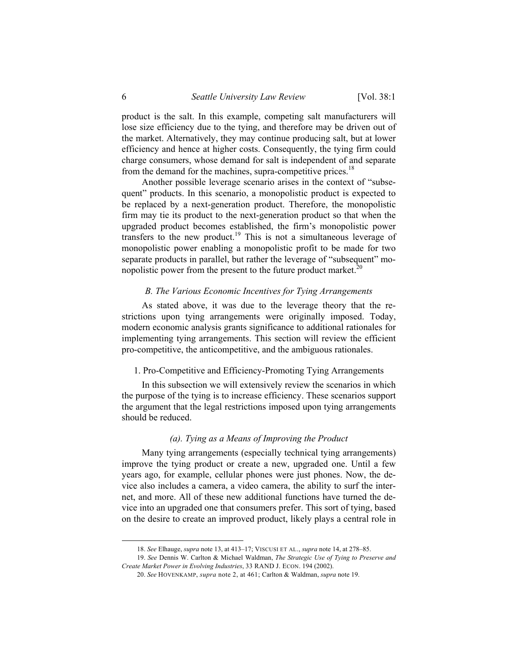product is the salt. In this example, competing salt manufacturers will lose size efficiency due to the tying, and therefore may be driven out of the market. Alternatively, they may continue producing salt, but at lower efficiency and hence at higher costs. Consequently, the tying firm could charge consumers, whose demand for salt is independent of and separate from the demand for the machines, supra-competitive prices.<sup>18</sup>

Another possible leverage scenario arises in the context of "subsequent" products. In this scenario, a monopolistic product is expected to be replaced by a next-generation product. Therefore, the monopolistic firm may tie its product to the next-generation product so that when the upgraded product becomes established, the firm's monopolistic power transfers to the new product.19 This is not a simultaneous leverage of monopolistic power enabling a monopolistic profit to be made for two separate products in parallel, but rather the leverage of "subsequent" monopolistic power from the present to the future product market.<sup>20</sup>

#### *B. The Various Economic Incentives for Tying Arrangements*

As stated above, it was due to the leverage theory that the restrictions upon tying arrangements were originally imposed. Today, modern economic analysis grants significance to additional rationales for implementing tying arrangements. This section will review the efficient pro-competitive, the anticompetitive, and the ambiguous rationales.

#### 1. Pro-Competitive and Efficiency-Promoting Tying Arrangements

In this subsection we will extensively review the scenarios in which the purpose of the tying is to increase efficiency. These scenarios support the argument that the legal restrictions imposed upon tying arrangements should be reduced.

### *(a). Tying as a Means of Improving the Product*

Many tying arrangements (especially technical tying arrangements) improve the tying product or create a new, upgraded one. Until a few years ago, for example, cellular phones were just phones. Now, the device also includes a camera, a video camera, the ability to surf the internet, and more. All of these new additional functions have turned the device into an upgraded one that consumers prefer. This sort of tying, based on the desire to create an improved product, likely plays a central role in

 <sup>18.</sup> *See* Elhauge, *supra* note 13, at 413–17; VISCUSI ET AL., *supra* note 14, at 278–85.

<sup>19.</sup> *See* Dennis W. Carlton & Michael Waldman, *The Strategic Use of Tying to Preserve and Create Market Power in Evolving Industries*, 33 RAND J. ECON. 194 (2002).

<sup>20.</sup> *See* HOVENKAMP, *supra* note 2, at 461; Carlton & Waldman, *supra* note 19.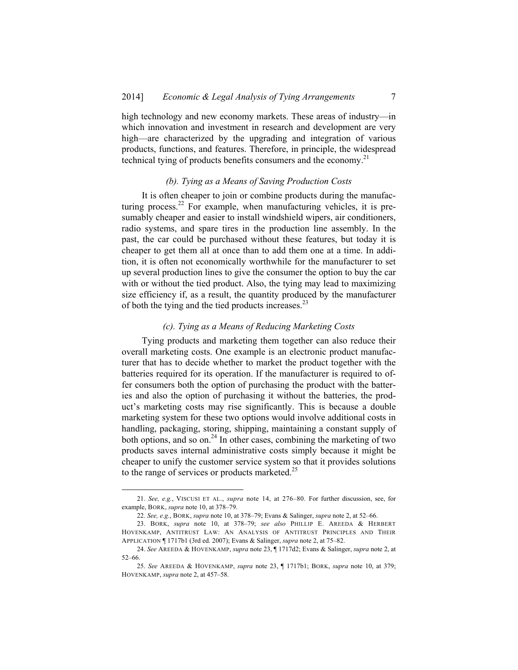high technology and new economy markets. These areas of industry—in which innovation and investment in research and development are very high—are characterized by the upgrading and integration of various products, functions, and features. Therefore, in principle, the widespread technical tying of products benefits consumers and the economy.<sup>21</sup>

#### *(b). Tying as a Means of Saving Production Costs*

It is often cheaper to join or combine products during the manufacturing process.<sup>22</sup> For example, when manufacturing vehicles, it is presumably cheaper and easier to install windshield wipers, air conditioners, radio systems, and spare tires in the production line assembly. In the past, the car could be purchased without these features, but today it is cheaper to get them all at once than to add them one at a time. In addition, it is often not economically worthwhile for the manufacturer to set up several production lines to give the consumer the option to buy the car with or without the tied product. Also, the tying may lead to maximizing size efficiency if, as a result, the quantity produced by the manufacturer of both the tying and the tied products increases.<sup>23</sup>

### *(c). Tying as a Means of Reducing Marketing Costs*

Tying products and marketing them together can also reduce their overall marketing costs. One example is an electronic product manufacturer that has to decide whether to market the product together with the batteries required for its operation. If the manufacturer is required to offer consumers both the option of purchasing the product with the batteries and also the option of purchasing it without the batteries, the product's marketing costs may rise significantly. This is because a double marketing system for these two options would involve additional costs in handling, packaging, storing, shipping, maintaining a constant supply of both options, and so on. $^{24}$  In other cases, combining the marketing of two products saves internal administrative costs simply because it might be cheaper to unify the customer service system so that it provides solutions to the range of services or products marketed.<sup>25</sup>

 <sup>21.</sup> *See, e.g.*, VISCUSI ET AL., *supra* note 14, at 276–80. For further discussion, see, for example, BORK, *supra* note 10, at 378–79.

<sup>22.</sup> *See, e.g.*, BORK, *supra* note 10, at 378–79; Evans & Salinger, *supra* note 2, at 52–66.

 <sup>23.</sup> BORK, *supra* note 10, at 378–79; *see also* PHILLIP E. AREEDA & HERBERT HOVENKAMP, ANTITRUST LAW: AN ANALYSIS OF ANTITRUST PRINCIPLES AND THEIR APPLICATION ¶ 1717b1 (3rd ed. 2007); Evans & Salinger, *supra* note 2, at 75–82.

<sup>24.</sup> *See* AREEDA & HOVENKAMP, *supra* note 23, ¶ 1717d2; Evans & Salinger, *supra* note 2, at 52–66.

<sup>25.</sup> *See* AREEDA & HOVENKAMP, *supra* note 23, ¶ 1717b1; BORK, *supra* note 10, at 379; HOVENKAMP, *supra* note 2, at 457–58.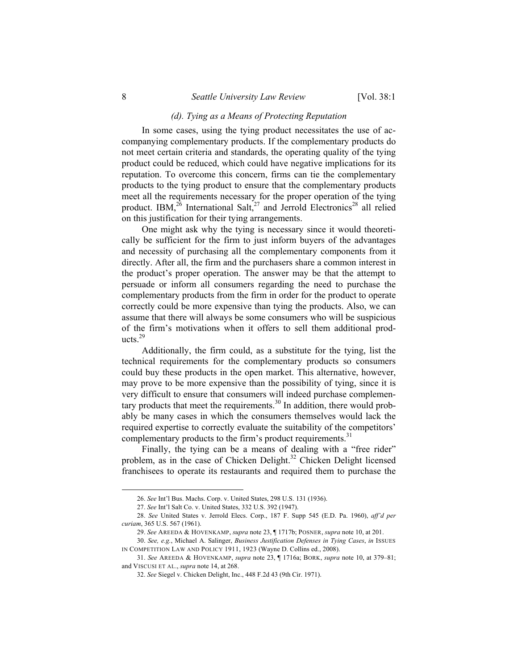### *(d). Tying as a Means of Protecting Reputation*

In some cases, using the tying product necessitates the use of accompanying complementary products. If the complementary products do not meet certain criteria and standards, the operating quality of the tying product could be reduced, which could have negative implications for its reputation. To overcome this concern, firms can tie the complementary products to the tying product to ensure that the complementary products meet all the requirements necessary for the proper operation of the tying product. IBM,<sup>26</sup> International Salt,<sup>27</sup> and Jerrold Electronics<sup>28</sup> all relied on this justification for their tying arrangements.

One might ask why the tying is necessary since it would theoretically be sufficient for the firm to just inform buyers of the advantages and necessity of purchasing all the complementary components from it directly. After all, the firm and the purchasers share a common interest in the product's proper operation. The answer may be that the attempt to persuade or inform all consumers regarding the need to purchase the complementary products from the firm in order for the product to operate correctly could be more expensive than tying the products. Also, we can assume that there will always be some consumers who will be suspicious of the firm's motivations when it offers to sell them additional products. $29$ 

Additionally, the firm could, as a substitute for the tying, list the technical requirements for the complementary products so consumers could buy these products in the open market. This alternative, however, may prove to be more expensive than the possibility of tying, since it is very difficult to ensure that consumers will indeed purchase complementary products that meet the requirements.<sup>30</sup> In addition, there would probably be many cases in which the consumers themselves would lack the required expertise to correctly evaluate the suitability of the competitors' complementary products to the firm's product requirements.<sup>31</sup>

Finally, the tying can be a means of dealing with a "free rider" problem, as in the case of Chicken Delight.<sup>32</sup> Chicken Delight licensed franchisees to operate its restaurants and required them to purchase the

 <sup>26.</sup> *See* Int'l Bus. Machs. Corp. v. United States, 298 U.S. 131 (1936).

<sup>27.</sup> *See* Int'l Salt Co. v. United States, 332 U.S. 392 (1947).

<sup>28.</sup> *See* United States v. Jerrold Elecs. Corp., 187 F. Supp 545 (E.D. Pa. 1960), *aff'd per curiam*, 365 U.S. 567 (1961).

<sup>29.</sup> *See* AREEDA & HOVENKAMP, *supra* note 23, ¶ 1717b; POSNER, *supra* note 10, at 201.

<sup>30.</sup> *See, e.g.*, Michael A. Salinger, *Business Justification Defenses in Tying Cases*, *in* ISSUES IN COMPETITION LAW AND POLICY 1911, 1923 (Wayne D. Collins ed., 2008).

<sup>31.</sup> *See* AREEDA & HOVENKAMP, *supra* note 23, ¶ 1716a; BORK, *supra* note 10, at 379–81; and VISCUSI ET AL., *supra* note 14, at 268.

<sup>32.</sup> *See* Siegel v. Chicken Delight, Inc., 448 F.2d 43 (9th Cir. 1971).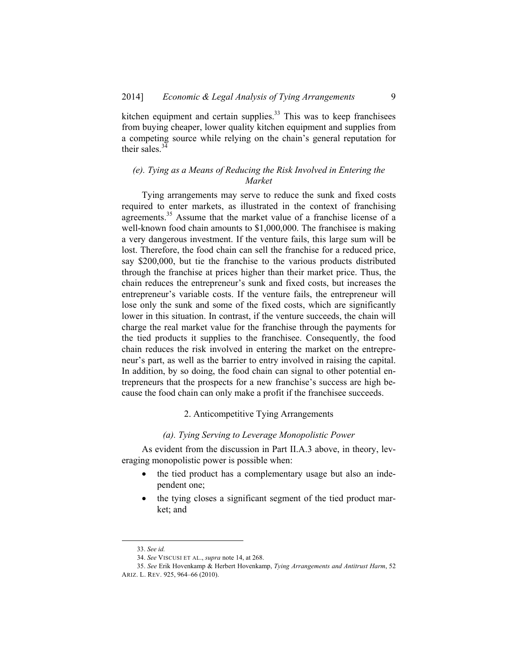kitchen equipment and certain supplies. $33$  This was to keep franchisees from buying cheaper, lower quality kitchen equipment and supplies from a competing source while relying on the chain's general reputation for their sales.<sup>3</sup>

# *(e). Tying as a Means of Reducing the Risk Involved in Entering the Market*

Tying arrangements may serve to reduce the sunk and fixed costs required to enter markets, as illustrated in the context of franchising agreements.<sup>35</sup> Assume that the market value of a franchise license of a well-known food chain amounts to \$1,000,000. The franchisee is making a very dangerous investment. If the venture fails, this large sum will be lost. Therefore, the food chain can sell the franchise for a reduced price, say \$200,000, but tie the franchise to the various products distributed through the franchise at prices higher than their market price. Thus, the chain reduces the entrepreneur's sunk and fixed costs, but increases the entrepreneur's variable costs. If the venture fails, the entrepreneur will lose only the sunk and some of the fixed costs, which are significantly lower in this situation. In contrast, if the venture succeeds, the chain will charge the real market value for the franchise through the payments for the tied products it supplies to the franchisee. Consequently, the food chain reduces the risk involved in entering the market on the entrepreneur's part, as well as the barrier to entry involved in raising the capital. In addition, by so doing, the food chain can signal to other potential entrepreneurs that the prospects for a new franchise's success are high because the food chain can only make a profit if the franchisee succeeds.

## 2. Anticompetitive Tying Arrangements

#### *(a). Tying Serving to Leverage Monopolistic Power*

As evident from the discussion in Part II.A.3 above, in theory, leveraging monopolistic power is possible when:

- the tied product has a complementary usage but also an independent one;
- the tying closes a significant segment of the tied product market; and

 <sup>33.</sup> *See id.*

<sup>34.</sup> *See* VISCUSI ET AL., *supra* note 14, at 268.

<sup>35.</sup> *See* Erik Hovenkamp & Herbert Hovenkamp, *Tying Arrangements and Antitrust Harm*, 52 ARIZ. L. REV. 925, 964–66 (2010).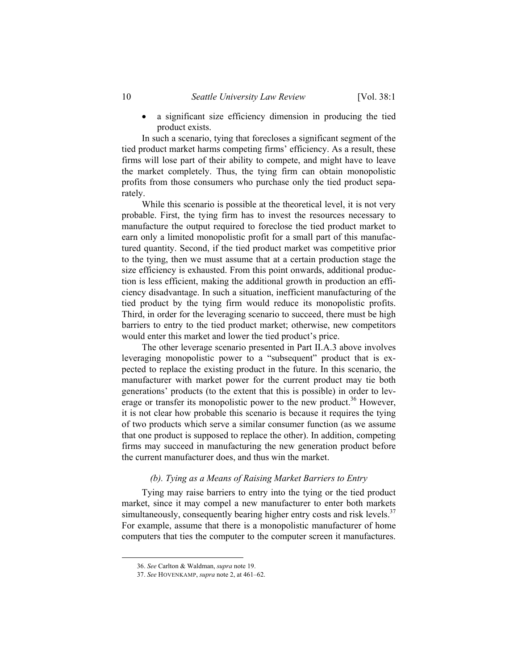• a significant size efficiency dimension in producing the tied product exists.

In such a scenario, tying that forecloses a significant segment of the tied product market harms competing firms' efficiency. As a result, these firms will lose part of their ability to compete, and might have to leave the market completely. Thus, the tying firm can obtain monopolistic profits from those consumers who purchase only the tied product separately.

While this scenario is possible at the theoretical level, it is not very probable. First, the tying firm has to invest the resources necessary to manufacture the output required to foreclose the tied product market to earn only a limited monopolistic profit for a small part of this manufactured quantity. Second, if the tied product market was competitive prior to the tying, then we must assume that at a certain production stage the size efficiency is exhausted. From this point onwards, additional production is less efficient, making the additional growth in production an efficiency disadvantage. In such a situation, inefficient manufacturing of the tied product by the tying firm would reduce its monopolistic profits. Third, in order for the leveraging scenario to succeed, there must be high barriers to entry to the tied product market; otherwise, new competitors would enter this market and lower the tied product's price.

The other leverage scenario presented in Part II.A.3 above involves leveraging monopolistic power to a "subsequent" product that is expected to replace the existing product in the future. In this scenario, the manufacturer with market power for the current product may tie both generations' products (to the extent that this is possible) in order to leverage or transfer its monopolistic power to the new product.<sup>36</sup> However, it is not clear how probable this scenario is because it requires the tying of two products which serve a similar consumer function (as we assume that one product is supposed to replace the other). In addition, competing firms may succeed in manufacturing the new generation product before the current manufacturer does, and thus win the market.

#### *(b). Tying as a Means of Raising Market Barriers to Entry*

Tying may raise barriers to entry into the tying or the tied product market, since it may compel a new manufacturer to enter both markets simultaneously, consequently bearing higher entry costs and risk levels.<sup>37</sup> For example, assume that there is a monopolistic manufacturer of home computers that ties the computer to the computer screen it manufactures.

 <sup>36.</sup> *See* Carlton & Waldman, *supra* note 19.

<sup>37.</sup> *See* HOVENKAMP, *supra* note 2, at 461–62.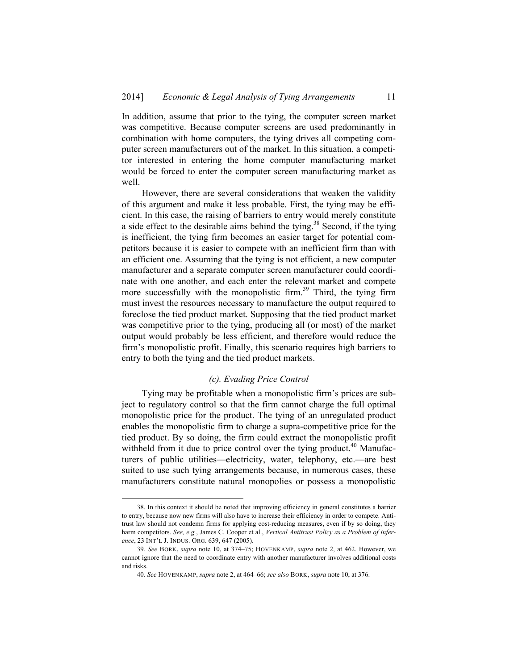In addition, assume that prior to the tying, the computer screen market was competitive. Because computer screens are used predominantly in combination with home computers, the tying drives all competing computer screen manufacturers out of the market. In this situation, a competitor interested in entering the home computer manufacturing market would be forced to enter the computer screen manufacturing market as well.

However, there are several considerations that weaken the validity of this argument and make it less probable. First, the tying may be efficient. In this case, the raising of barriers to entry would merely constitute a side effect to the desirable aims behind the tying.<sup>38</sup> Second, if the tying is inefficient, the tying firm becomes an easier target for potential competitors because it is easier to compete with an inefficient firm than with an efficient one. Assuming that the tying is not efficient, a new computer manufacturer and a separate computer screen manufacturer could coordinate with one another, and each enter the relevant market and compete more successfully with the monopolistic firm.<sup>39</sup> Third, the tying firm must invest the resources necessary to manufacture the output required to foreclose the tied product market. Supposing that the tied product market was competitive prior to the tying, producing all (or most) of the market output would probably be less efficient, and therefore would reduce the firm's monopolistic profit. Finally, this scenario requires high barriers to entry to both the tying and the tied product markets.

### *(c). Evading Price Control*

Tying may be profitable when a monopolistic firm's prices are subject to regulatory control so that the firm cannot charge the full optimal monopolistic price for the product. The tying of an unregulated product enables the monopolistic firm to charge a supra-competitive price for the tied product. By so doing, the firm could extract the monopolistic profit withheld from it due to price control over the tying product.<sup>40</sup> Manufacturers of public utilities—electricity, water, telephony, etc.—are best suited to use such tying arrangements because, in numerous cases, these manufacturers constitute natural monopolies or possess a monopolistic

 <sup>38.</sup> In this context it should be noted that improving efficiency in general constitutes a barrier to entry, because now new firms will also have to increase their efficiency in order to compete. Antitrust law should not condemn firms for applying cost-reducing measures, even if by so doing, they harm competitors. *See, e.g.*, James C. Cooper et al., *Vertical Antitrust Policy as a Problem of Inference*, 23 INT'L J. INDUS. ORG. 639, 647 (2005).

<sup>39.</sup> *See* BORK, *supra* note 10, at 374–75; HOVENKAMP, *supra* note 2, at 462. However, we cannot ignore that the need to coordinate entry with another manufacturer involves additional costs and risks.

<sup>40.</sup> *See* HOVENKAMP, *supra* note 2, at 464–66; *see also* BORK, *supra* note 10, at 376.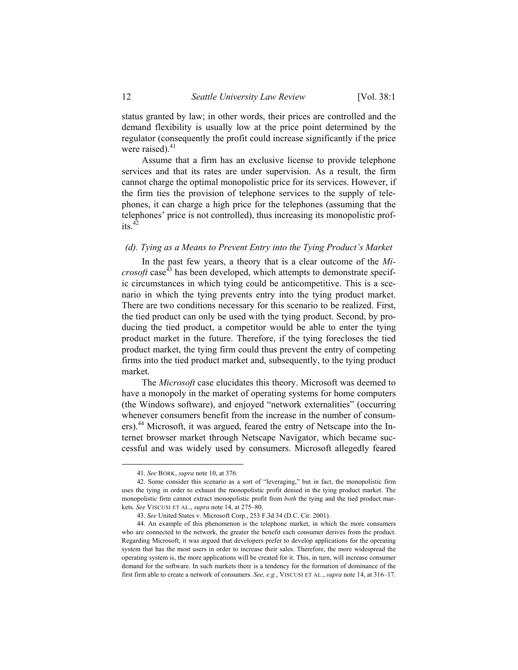status granted by law; in other words, their prices are controlled and the demand flexibility is usually low at the price point determined by the regulator (consequently the profit could increase significantly if the price were raised). $41$ 

Assume that a firm has an exclusive license to provide telephone services and that its rates are under supervision. As a result, the firm cannot charge the optimal monopolistic price for its services. However, if the firm ties the provision of telephone services to the supply of telephones, it can charge a high price for the telephones (assuming that the telephones' price is not controlled), thus increasing its monopolistic profits.<sup>42</sup>

## *(d). Tying as a Means to Prevent Entry into the Tying Product's Market*

In the past few years, a theory that is a clear outcome of the *Microsoft* case<sup> $43$ </sup> has been developed, which attempts to demonstrate specific circumstances in which tying could be anticompetitive. This is a scenario in which the tying prevents entry into the tying product market. There are two conditions necessary for this scenario to be realized. First, the tied product can only be used with the tying product. Second, by producing the tied product, a competitor would be able to enter the tying product market in the future. Therefore, if the tying forecloses the tied product market, the tying firm could thus prevent the entry of competing firms into the tied product market and, subsequently, to the tying product market.

The *Microsoft* case elucidates this theory. Microsoft was deemed to have a monopoly in the market of operating systems for home computers (the Windows software), and enjoyed "network externalities" (occurring whenever consumers benefit from the increase in the number of consumers).<sup>44</sup> Microsoft, it was argued, feared the entry of Netscape into the Internet browser market through Netscape Navigator, which became successful and was widely used by consumers. Microsoft allegedly feared

 <sup>41.</sup> *See* BORK, *supra* note 10, at 376.

 <sup>42.</sup> Some consider this scenario as a sort of "leveraging," but in fact, the monopolistic firm uses the tying in order to exhaust the monopolistic profit denied in the tying product market. The monopolistic firm cannot extract monopolistic profit from *both* the tying and the tied product markets. *See* VISCUSI ET AL., *supra* note 14, at 275–80.

<sup>43.</sup> *See* United States v. Microsoft Corp., 253 F.3d 34 (D.C. Cir. 2001).

 <sup>44.</sup> An example of this phenomenon is the telephone market, in which the more consumers who are connected to the network, the greater the benefit each consumer derives from the product. Regarding Microsoft, it was argued that developers prefer to develop applications for the operating system that has the most users in order to increase their sales. Therefore, the more widespread the operating system is, the more applications will be created for it. This, in turn, will increase consumer demand for the software. In such markets there is a tendency for the formation of dominance of the first firm able to create a network of consumers. *See, e.g.*, VISCUSI ET AL., *supra* note 14, at 316–17.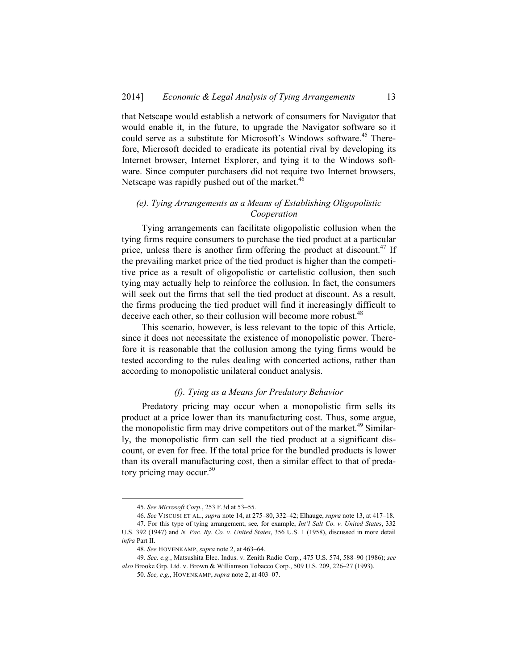that Netscape would establish a network of consumers for Navigator that would enable it, in the future, to upgrade the Navigator software so it could serve as a substitute for Microsoft's Windows software.<sup>45</sup> Therefore, Microsoft decided to eradicate its potential rival by developing its Internet browser, Internet Explorer, and tying it to the Windows software. Since computer purchasers did not require two Internet browsers, Netscape was rapidly pushed out of the market.<sup>46</sup>

# *(e). Tying Arrangements as a Means of Establishing Oligopolistic Cooperation*

Tying arrangements can facilitate oligopolistic collusion when the tying firms require consumers to purchase the tied product at a particular price, unless there is another firm offering the product at discount.<sup>47</sup> If the prevailing market price of the tied product is higher than the competitive price as a result of oligopolistic or cartelistic collusion, then such tying may actually help to reinforce the collusion. In fact, the consumers will seek out the firms that sell the tied product at discount. As a result, the firms producing the tied product will find it increasingly difficult to deceive each other, so their collusion will become more robust.<sup>48</sup>

This scenario, however, is less relevant to the topic of this Article, since it does not necessitate the existence of monopolistic power. Therefore it is reasonable that the collusion among the tying firms would be tested according to the rules dealing with concerted actions, rather than according to monopolistic unilateral conduct analysis.

#### *(f). Tying as a Means for Predatory Behavior*

Predatory pricing may occur when a monopolistic firm sells its product at a price lower than its manufacturing cost. Thus, some argue, the monopolistic firm may drive competitors out of the market.<sup>49</sup> Similarly, the monopolistic firm can sell the tied product at a significant discount, or even for free. If the total price for the bundled products is lower than its overall manufacturing cost, then a similar effect to that of predatory pricing may occur.<sup>50</sup>

 <sup>45.</sup> *See Microsoft Corp.*, 253 F.3d at 53–55.

<sup>46.</sup> *See* VISCUSI ET AL., *supra* note 14, at 275–80, 332–42; Elhauge, *supra* note 13, at 417–18.

 <sup>47.</sup> For this type of tying arrangement, see*,* for example, *Int'l Salt Co. v. United States*, 332 U.S. 392 (1947) and *N. Pac. Ry. Co. v. United States*, 356 U.S. 1 (1958), discussed in more detail *infra* Part II.

<sup>48.</sup> *See* HOVENKAMP, *supra* note 2, at 463–64.

<sup>49.</sup> *See, e.g.*, Matsushita Elec. Indus. v. Zenith Radio Corp., 475 U.S. 574, 588–90 (1986); *see also* Brooke Grp. Ltd. v. Brown & Williamson Tobacco Corp., 509 U.S. 209, 226–27 (1993).

<sup>50.</sup> *See, e.g.*, HOVENKAMP, *supra* note 2, at 403–07.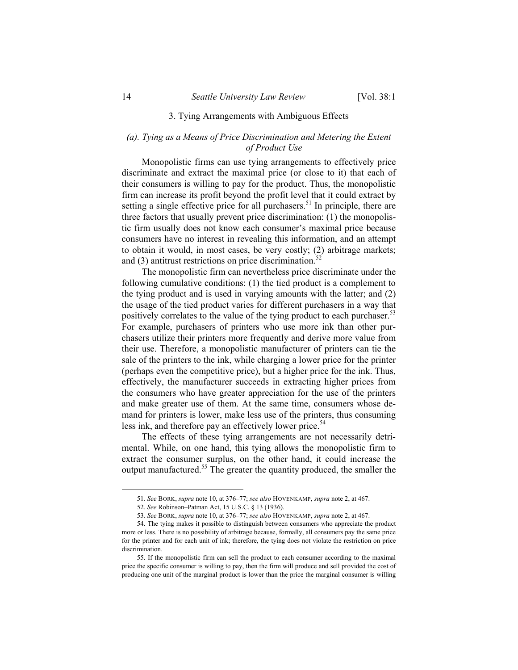### 3. Tying Arrangements with Ambiguous Effects

# *(a). Tying as a Means of Price Discrimination and Metering the Extent of Product Use*

Monopolistic firms can use tying arrangements to effectively price discriminate and extract the maximal price (or close to it) that each of their consumers is willing to pay for the product. Thus, the monopolistic firm can increase its profit beyond the profit level that it could extract by setting a single effective price for all purchasers.<sup>51</sup> In principle, there are three factors that usually prevent price discrimination: (1) the monopolistic firm usually does not know each consumer's maximal price because consumers have no interest in revealing this information, and an attempt to obtain it would, in most cases, be very costly; (2) arbitrage markets; and  $(3)$  antitrust restrictions on price discrimination.<sup>5</sup>

The monopolistic firm can nevertheless price discriminate under the following cumulative conditions: (1) the tied product is a complement to the tying product and is used in varying amounts with the latter; and (2) the usage of the tied product varies for different purchasers in a way that positively correlates to the value of the tying product to each purchaser.<sup>53</sup> For example, purchasers of printers who use more ink than other purchasers utilize their printers more frequently and derive more value from their use. Therefore, a monopolistic manufacturer of printers can tie the sale of the printers to the ink, while charging a lower price for the printer (perhaps even the competitive price), but a higher price for the ink. Thus, effectively, the manufacturer succeeds in extracting higher prices from the consumers who have greater appreciation for the use of the printers and make greater use of them. At the same time, consumers whose demand for printers is lower, make less use of the printers, thus consuming less ink, and therefore pay an effectively lower price.<sup>54</sup>

The effects of these tying arrangements are not necessarily detrimental. While, on one hand, this tying allows the monopolistic firm to extract the consumer surplus, on the other hand, it could increase the output manufactured.55 The greater the quantity produced, the smaller the

 <sup>51.</sup> *See* BORK, *supra* note 10, at 376–77; *see also* HOVENKAMP, *supra* note 2, at 467.

<sup>52.</sup> *See* Robinson–Patman Act, 15 U.S.C. § 13 (1936).

<sup>53.</sup> *See* BORK, *supra* note 10, at 376–77; *see also* HOVENKAMP, *supra* note 2, at 467.

 <sup>54.</sup> The tying makes it possible to distinguish between consumers who appreciate the product more or less. There is no possibility of arbitrage because, formally, all consumers pay the same price for the printer and for each unit of ink; therefore, the tying does not violate the restriction on price discrimination.

 <sup>55.</sup> If the monopolistic firm can sell the product to each consumer according to the maximal price the specific consumer is willing to pay, then the firm will produce and sell provided the cost of producing one unit of the marginal product is lower than the price the marginal consumer is willing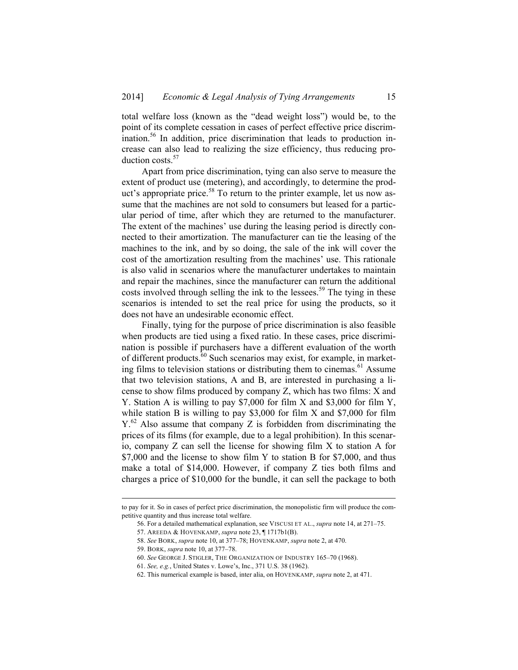total welfare loss (known as the "dead weight loss") would be, to the point of its complete cessation in cases of perfect effective price discrimination.56 In addition, price discrimination that leads to production increase can also lead to realizing the size efficiency, thus reducing production costs.<sup>57</sup>

Apart from price discrimination, tying can also serve to measure the extent of product use (metering), and accordingly, to determine the product's appropriate price.<sup>58</sup> To return to the printer example, let us now assume that the machines are not sold to consumers but leased for a particular period of time, after which they are returned to the manufacturer. The extent of the machines' use during the leasing period is directly connected to their amortization. The manufacturer can tie the leasing of the machines to the ink, and by so doing, the sale of the ink will cover the cost of the amortization resulting from the machines' use. This rationale is also valid in scenarios where the manufacturer undertakes to maintain and repair the machines, since the manufacturer can return the additional costs involved through selling the ink to the lessees.<sup>59</sup> The tying in these scenarios is intended to set the real price for using the products, so it does not have an undesirable economic effect.

Finally, tying for the purpose of price discrimination is also feasible when products are tied using a fixed ratio. In these cases, price discrimination is possible if purchasers have a different evaluation of the worth of different products.<sup>60</sup> Such scenarios may exist, for example, in marketing films to television stations or distributing them to cinemas.<sup>61</sup> Assume that two television stations, A and B, are interested in purchasing a license to show films produced by company Z, which has two films: X and Y. Station A is willing to pay \$7,000 for film X and \$3,000 for film Y, while station B is willing to pay \$3,000 for film X and \$7,000 for film  $Y<sub>1</sub><sup>62</sup>$  Also assume that company Z is forbidden from discriminating the prices of its films (for example, due to a legal prohibition). In this scenario, company Z can sell the license for showing film X to station A for \$7,000 and the license to show film Y to station B for \$7,000, and thus make a total of \$14,000. However, if company Z ties both films and charges a price of \$10,000 for the bundle, it can sell the package to both

1

to pay for it. So in cases of perfect price discrimination, the monopolistic firm will produce the competitive quantity and thus increase total welfare.

 <sup>56.</sup> For a detailed mathematical explanation, see VISCUSI ET AL., *supra* note 14, at 271–75.

 <sup>57.</sup> AREEDA & HOVENKAMP, *supra* note 23, ¶ 1717b1(B).

<sup>58.</sup> *See* BORK, *supra* note 10, at 377–78; HOVENKAMP, *supra* note 2, at 470.

 <sup>59.</sup> BORK, *supra* note 10, at 377–78.

<sup>60.</sup> *See* GEORGE J. STIGLER, THE ORGANIZATION OF INDUSTRY 165–70 (1968).

<sup>61.</sup> *See, e.g.*, United States v. Lowe's, Inc., 371 U.S. 38 (1962).

 <sup>62.</sup> This numerical example is based, inter alia, on HOVENKAMP, *supra* note 2, at 471.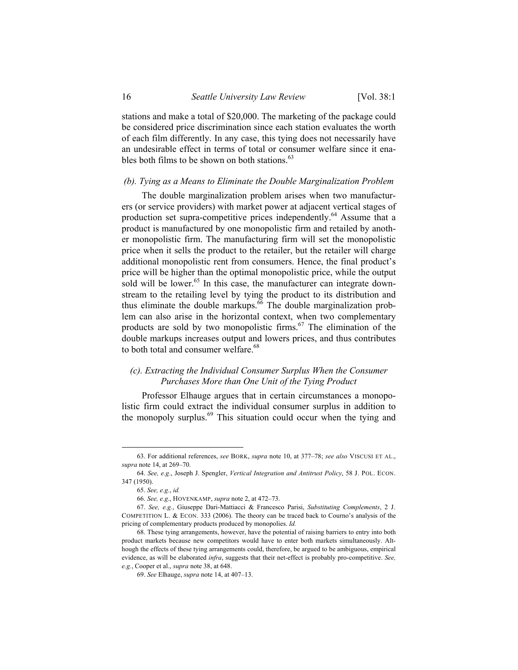stations and make a total of \$20,000. The marketing of the package could be considered price discrimination since each station evaluates the worth of each film differently. In any case, this tying does not necessarily have an undesirable effect in terms of total or consumer welfare since it enables both films to be shown on both stations.<sup>63</sup>

#### *(b). Tying as a Means to Eliminate the Double Marginalization Problem*

The double marginalization problem arises when two manufacturers (or service providers) with market power at adjacent vertical stages of production set supra-competitive prices independently.<sup>64</sup> Assume that a product is manufactured by one monopolistic firm and retailed by another monopolistic firm. The manufacturing firm will set the monopolistic price when it sells the product to the retailer, but the retailer will charge additional monopolistic rent from consumers. Hence, the final product's price will be higher than the optimal monopolistic price, while the output sold will be lower.<sup>65</sup> In this case, the manufacturer can integrate downstream to the retailing level by tying the product to its distribution and thus eliminate the double markups.<sup>66</sup> The double marginalization problem can also arise in the horizontal context, when two complementary products are sold by two monopolistic firms.<sup>67</sup> The elimination of the double markups increases output and lowers prices, and thus contributes to both total and consumer welfare.<sup>68</sup>

## *(c). Extracting the Individual Consumer Surplus When the Consumer Purchases More than One Unit of the Tying Product*

Professor Elhauge argues that in certain circumstances a monopolistic firm could extract the individual consumer surplus in addition to the monopoly surplus. $69$  This situation could occur when the tying and

1

 <sup>63.</sup> For additional references, *see* BORK, *supra* note 10, at 377–78; *see also* VISCUSI ET AL., *supra* note 14, at 269–70.

<sup>64.</sup> *See, e.g*., Joseph J. Spengler, *Vertical Integration and Antitrust Policy*, 58 J. POL. ECON. 347 (1950).

<sup>65.</sup> *See, e.g.*, *id.*

<sup>66.</sup> *See, e.g*., HOVENKAMP, *supra* note 2, at 472–73.

<sup>67.</sup> *See, e.g.*, Giuseppe Dari-Mattiacci & Francesco Parisi, *Substituting Complements*, 2 J. COMPETITION L. & ECON. 333 (2006). The theory can be traced back to Courno's analysis of the pricing of complementary products produced by monopolies. *Id.*

 <sup>68.</sup> These tying arrangements, however, have the potential of raising barriers to entry into both product markets because new competitors would have to enter both markets simultaneously. Although the effects of these tying arrangements could, therefore, be argued to be ambiguous, empirical evidence, as will be elaborated *infra*, suggests that their net-effect is probably pro-competitive. *See, e.g.*, Cooper et al., *supra* note 38, at 648.

<sup>69.</sup> *See* Elhauge, *supra* note 14, at 407–13.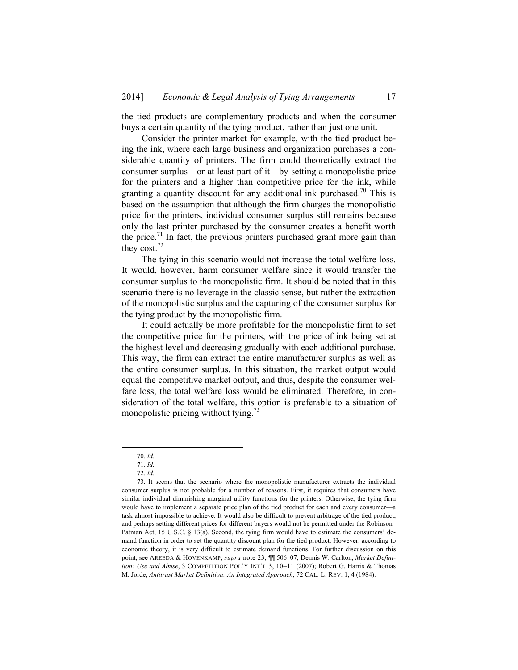the tied products are complementary products and when the consumer buys a certain quantity of the tying product, rather than just one unit.

Consider the printer market for example, with the tied product being the ink, where each large business and organization purchases a considerable quantity of printers. The firm could theoretically extract the consumer surplus—or at least part of it—by setting a monopolistic price for the printers and a higher than competitive price for the ink, while granting a quantity discount for any additional ink purchased.<sup>70</sup> This is based on the assumption that although the firm charges the monopolistic price for the printers, individual consumer surplus still remains because only the last printer purchased by the consumer creates a benefit worth the price.<sup>71</sup> In fact, the previous printers purchased grant more gain than they cost.<sup>72</sup>

The tying in this scenario would not increase the total welfare loss. It would, however, harm consumer welfare since it would transfer the consumer surplus to the monopolistic firm. It should be noted that in this scenario there is no leverage in the classic sense, but rather the extraction of the monopolistic surplus and the capturing of the consumer surplus for the tying product by the monopolistic firm.

It could actually be more profitable for the monopolistic firm to set the competitive price for the printers, with the price of ink being set at the highest level and decreasing gradually with each additional purchase. This way, the firm can extract the entire manufacturer surplus as well as the entire consumer surplus. In this situation, the market output would equal the competitive market output, and thus, despite the consumer welfare loss, the total welfare loss would be eliminated. Therefore, in consideration of the total welfare, this option is preferable to a situation of monopolistic pricing without tying. $^{73}$ 

 <sup>70.</sup> *Id.*

<sup>71.</sup> *Id.* 

<sup>72.</sup> *Id.*

 <sup>73.</sup> It seems that the scenario where the monopolistic manufacturer extracts the individual consumer surplus is not probable for a number of reasons. First, it requires that consumers have similar individual diminishing marginal utility functions for the printers. Otherwise, the tying firm would have to implement a separate price plan of the tied product for each and every consumer—a task almost impossible to achieve. It would also be difficult to prevent arbitrage of the tied product, and perhaps setting different prices for different buyers would not be permitted under the Robinson– Patman Act, 15 U.S.C. § 13(a). Second, the tying firm would have to estimate the consumers' demand function in order to set the quantity discount plan for the tied product. However, according to economic theory, it is very difficult to estimate demand functions. For further discussion on this point, see AREEDA & HOVENKAMP, *supra* note 23, ¶¶ 506–07; Dennis W. Carlton, *Market Definition: Use and Abuse*, 3 COMPETITION POL'Y INT'L 3, 10–11 (2007); Robert G. Harris & Thomas M. Jorde, *Antitrust Market Definition: An Integrated Approach*, 72 CAL. L. REV. 1, 4 (1984).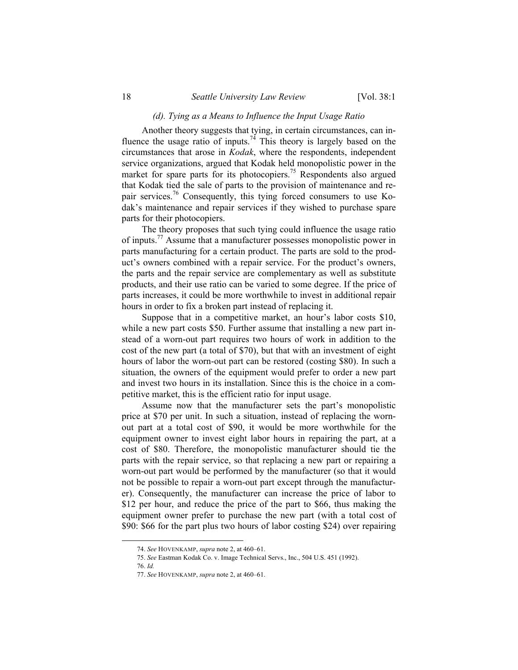### *(d). Tying as a Means to Influence the Input Usage Ratio*

Another theory suggests that tying, in certain circumstances, can influence the usage ratio of inputs.<sup>74</sup> This theory is largely based on the circumstances that arose in *Kodak*, where the respondents, independent service organizations, argued that Kodak held monopolistic power in the market for spare parts for its photocopiers.<sup>75</sup> Respondents also argued that Kodak tied the sale of parts to the provision of maintenance and repair services.76 Consequently, this tying forced consumers to use Kodak's maintenance and repair services if they wished to purchase spare parts for their photocopiers.

The theory proposes that such tying could influence the usage ratio of inputs.77 Assume that a manufacturer possesses monopolistic power in parts manufacturing for a certain product. The parts are sold to the product's owners combined with a repair service. For the product's owners, the parts and the repair service are complementary as well as substitute products, and their use ratio can be varied to some degree. If the price of parts increases, it could be more worthwhile to invest in additional repair hours in order to fix a broken part instead of replacing it.

Suppose that in a competitive market, an hour's labor costs \$10, while a new part costs \$50. Further assume that installing a new part instead of a worn-out part requires two hours of work in addition to the cost of the new part (a total of \$70), but that with an investment of eight hours of labor the worn-out part can be restored (costing \$80). In such a situation, the owners of the equipment would prefer to order a new part and invest two hours in its installation. Since this is the choice in a competitive market, this is the efficient ratio for input usage.

Assume now that the manufacturer sets the part's monopolistic price at \$70 per unit. In such a situation, instead of replacing the wornout part at a total cost of \$90, it would be more worthwhile for the equipment owner to invest eight labor hours in repairing the part, at a cost of \$80. Therefore, the monopolistic manufacturer should tie the parts with the repair service, so that replacing a new part or repairing a worn-out part would be performed by the manufacturer (so that it would not be possible to repair a worn-out part except through the manufacturer). Consequently, the manufacturer can increase the price of labor to \$12 per hour, and reduce the price of the part to \$66, thus making the equipment owner prefer to purchase the new part (with a total cost of \$90: \$66 for the part plus two hours of labor costing \$24) over repairing

 <sup>74.</sup> *See* HOVENKAMP, *supra* note 2, at 460–61.

<sup>75.</sup> *See* Eastman Kodak Co. v. Image Technical Servs., Inc., 504 U.S. 451 (1992).

<sup>76.</sup> *Id.* 

<sup>77.</sup> *See* HOVENKAMP, *supra* note 2, at 460–61.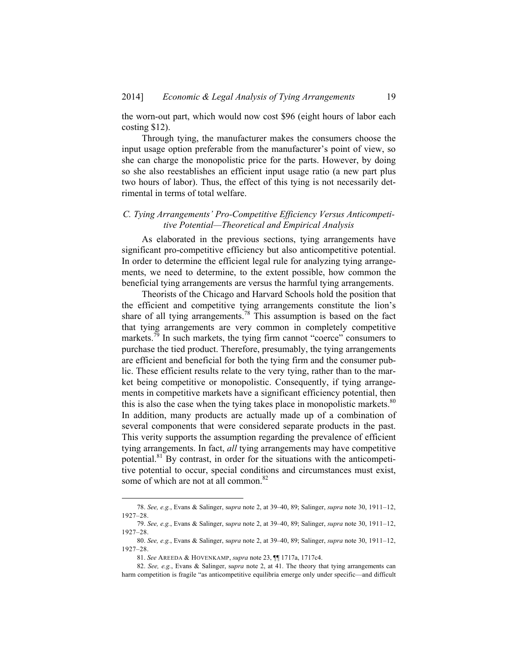the worn-out part, which would now cost \$96 (eight hours of labor each costing \$12).

Through tying, the manufacturer makes the consumers choose the input usage option preferable from the manufacturer's point of view, so she can charge the monopolistic price for the parts. However, by doing so she also reestablishes an efficient input usage ratio (a new part plus two hours of labor). Thus, the effect of this tying is not necessarily detrimental in terms of total welfare.

### *C. Tying Arrangements' Pro-Competitive Efficiency Versus Anticompetitive Potential—Theoretical and Empirical Analysis*

As elaborated in the previous sections, tying arrangements have significant pro-competitive efficiency but also anticompetitive potential. In order to determine the efficient legal rule for analyzing tying arrangements, we need to determine, to the extent possible, how common the beneficial tying arrangements are versus the harmful tying arrangements.

Theorists of the Chicago and Harvard Schools hold the position that the efficient and competitive tying arrangements constitute the lion's share of all tying arrangements.78 This assumption is based on the fact that tying arrangements are very common in completely competitive markets.<sup>79</sup> In such markets, the tying firm cannot "coerce" consumers to purchase the tied product. Therefore, presumably, the tying arrangements are efficient and beneficial for both the tying firm and the consumer public. These efficient results relate to the very tying, rather than to the market being competitive or monopolistic. Consequently, if tying arrangements in competitive markets have a significant efficiency potential, then this is also the case when the tying takes place in monopolistic markets.<sup>80</sup> In addition, many products are actually made up of a combination of several components that were considered separate products in the past. This verity supports the assumption regarding the prevalence of efficient tying arrangements. In fact, *all* tying arrangements may have competitive potential.81 By contrast, in order for the situations with the anticompetitive potential to occur, special conditions and circumstances must exist, some of which are not at all common.<sup>82</sup>

 <sup>78.</sup> *See, e.g.*, Evans & Salinger, s*upra* note 2, at 39–40, 89; Salinger, *supra* note 30, 1911–12, 1927–28.

<sup>79.</sup> *See, e.g.*, Evans & Salinger, s*upra* note 2, at 39–40, 89; Salinger, *supra* note 30, 1911–12, 1927–28.

<sup>80.</sup> *See, e.g.*, Evans & Salinger, s*upra* note 2, at 39–40, 89; Salinger, *supra* note 30, 1911–12, 1927–28.

<sup>81.</sup> *See* AREEDA & HOVENKAMP, *supra* note 23, ¶¶ 1717a, 1717c4.

<sup>82.</sup> *See, e.g.*, Evans & Salinger, s*upra* note 2, at 41. The theory that tying arrangements can harm competition is fragile "as anticompetitive equilibria emerge only under specific—and difficult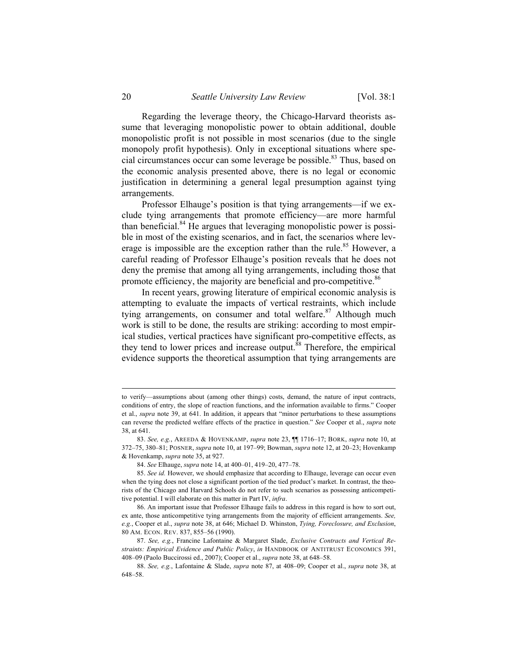Regarding the leverage theory, the Chicago-Harvard theorists assume that leveraging monopolistic power to obtain additional, double monopolistic profit is not possible in most scenarios (due to the single monopoly profit hypothesis). Only in exceptional situations where special circumstances occur can some leverage be possible.<sup>83</sup> Thus, based on the economic analysis presented above, there is no legal or economic justification in determining a general legal presumption against tying arrangements.

Professor Elhauge's position is that tying arrangements—if we exclude tying arrangements that promote efficiency—are more harmful than beneficial.<sup>84</sup> He argues that leveraging monopolistic power is possible in most of the existing scenarios, and in fact, the scenarios where leverage is impossible are the exception rather than the rule.<sup>85</sup> However, a careful reading of Professor Elhauge's position reveals that he does not deny the premise that among all tying arrangements, including those that promote efficiency, the majority are beneficial and pro-competitive.<sup>86</sup>

In recent years, growing literature of empirical economic analysis is attempting to evaluate the impacts of vertical restraints, which include tying arrangements, on consumer and total welfare.<sup>87</sup> Although much work is still to be done, the results are striking: according to most empirical studies, vertical practices have significant pro-competitive effects, as they tend to lower prices and increase output. $88$  Therefore, the empirical evidence supports the theoretical assumption that tying arrangements are

1

to verify—assumptions about (among other things) costs, demand, the nature of input contracts, conditions of entry, the slope of reaction functions, and the information available to firms." Cooper et al., *supra* note 39, at 641. In addition, it appears that "minor perturbations to these assumptions can reverse the predicted welfare effects of the practice in question." *See* Cooper et al., *supra* note 38, at 641.

<sup>83.</sup> *See, e.g.*, AREEDA & HOVENKAMP, *supra* note 23, ¶¶ 1716–17; BORK, *supra* note 10, at 372–75, 380–81; POSNER, *supra* note 10, at 197–99; Bowman, *supra* note 12, at 20–23; Hovenkamp & Hovenkamp, *supra* note 35, at 927.

<sup>84.</sup> *See* Elhauge, *supra* note 14, at 400–01, 419–20, 477–78.

<sup>85.</sup> *See id.* However, we should emphasize that according to Elhauge, leverage can occur even when the tying does not close a significant portion of the tied product's market. In contrast, the theorists of the Chicago and Harvard Schools do not refer to such scenarios as possessing anticompetitive potential. I will elaborate on this matter in Part IV, *infra*.

 <sup>86.</sup> An important issue that Professor Elhauge fails to address in this regard is how to sort out, ex ante, those anticompetitive tying arrangements from the majority of efficient arrangements. *See, e.g.*, Cooper et al., *supra* note 38, at 646; Michael D. Whinston, *Tying, Foreclosure, and Exclusion*, 80 AM. ECON. REV. 837, 855–56 (1990).

<sup>87.</sup> *See, e.g.*, Francine Lafontaine & Margaret Slade, *Exclusive Contracts and Vertical Restraints: Empirical Evidence and Public Policy*, *in* HANDBOOK OF ANTITRUST ECONOMICS 391, 408–09 (Paolo Buccirossi ed., 2007); Cooper et al., *supra* note 38, at 648–58.

<sup>88.</sup> *See, e.g.*, Lafontaine & Slade, *supra* note 87, at 408–09; Cooper et al., *supra* note 38, at 648–58.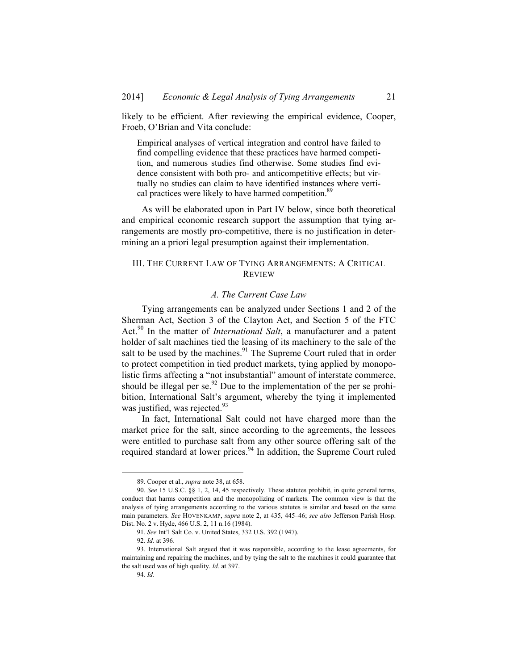likely to be efficient. After reviewing the empirical evidence, Cooper, Froeb, O'Brian and Vita conclude:

Empirical analyses of vertical integration and control have failed to find compelling evidence that these practices have harmed competition, and numerous studies find otherwise. Some studies find evidence consistent with both pro- and anticompetitive effects; but virtually no studies can claim to have identified instances where vertical practices were likely to have harmed competition.<sup>89</sup>

As will be elaborated upon in Part IV below, since both theoretical and empirical economic research support the assumption that tying arrangements are mostly pro-competitive, there is no justification in determining an a priori legal presumption against their implementation.

### III. THE CURRENT LAW OF TYING ARRANGEMENTS: A CRITICAL REVIEW

# *A. The Current Case Law*

Tying arrangements can be analyzed under Sections 1 and 2 of the Sherman Act, Section 3 of the Clayton Act, and Section 5 of the FTC Act.90 In the matter of *International Salt*, a manufacturer and a patent holder of salt machines tied the leasing of its machinery to the sale of the salt to be used by the machines.<sup>91</sup> The Supreme Court ruled that in order to protect competition in tied product markets, tying applied by monopolistic firms affecting a "not insubstantial" amount of interstate commerce, should be illegal per se. $^{92}$  Due to the implementation of the per se prohibition, International Salt's argument, whereby the tying it implemented was justified, was rejected.<sup>93</sup>

In fact, International Salt could not have charged more than the market price for the salt, since according to the agreements, the lessees were entitled to purchase salt from any other source offering salt of the required standard at lower prices.<sup>94</sup> In addition, the Supreme Court ruled

1

 <sup>89.</sup> Cooper et al., *supra* note 38, at 658.

<sup>90.</sup> *See* 15 U.S.C. §§ 1, 2, 14, 45 respectively. These statutes prohibit, in quite general terms, conduct that harms competition and the monopolizing of markets. The common view is that the analysis of tying arrangements according to the various statutes is similar and based on the same main parameters. *See* HOVENKAMP, *supra* note 2, at 435, 445–46; *see also* Jefferson Parish Hosp. Dist. No. 2 v. Hyde, 466 U.S. 2, 11 n.16 (1984).

<sup>91.</sup> *See* Int'l Salt Co. v. United States, 332 U.S. 392 (1947).

<sup>92.</sup> *Id.* at 396.

<sup>93.</sup> International Salt argued that it was responsible, according to the lease agreements, for maintaining and repairing the machines, and by tying the salt to the machines it could guarantee that the salt used was of high quality. *Id.* at 397.

<sup>94.</sup> *Id.*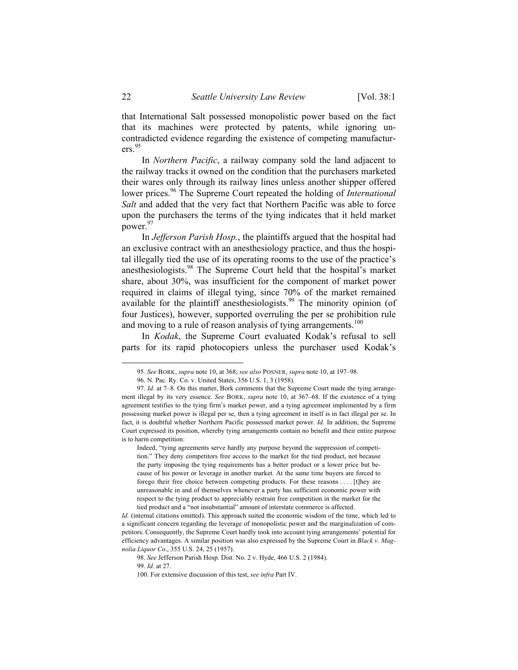that International Salt possessed monopolistic power based on the fact that its machines were protected by patents, while ignoring uncontradicted evidence regarding the existence of competing manufacturers.<sup>95</sup>

In *Northern Pacific*, a railway company sold the land adjacent to the railway tracks it owned on the condition that the purchasers marketed their wares only through its railway lines unless another shipper offered lower prices.<sup>96</sup> The Supreme Court repeated the holding of *International Salt* and added that the very fact that Northern Pacific was able to force upon the purchasers the terms of the tying indicates that it held market power.<sup>97</sup>

In *Jefferson Parish Hosp.*, the plaintiffs argued that the hospital had an exclusive contract with an anesthesiology practice, and thus the hospital illegally tied the use of its operating rooms to the use of the practice's anesthesiologists.98 The Supreme Court held that the hospital's market share, about 30%, was insufficient for the component of market power required in claims of illegal tying, since 70% of the market remained available for the plaintiff anesthesiologists.<sup>99</sup> The minority opinion (of four Justices), however, supported overruling the per se prohibition rule and moving to a rule of reason analysis of tying arrangements.<sup>100</sup>

In *Kodak*, the Supreme Court evaluated Kodak's refusal to sell parts for its rapid photocopiers unless the purchaser used Kodak's

 <sup>95.</sup> *See* BORK, *supra* note 10, at 368; *see also* POSNER, *supra* note 10, at 197–98.

 <sup>96.</sup> N. Pac. Ry. Co. v. United States, 356 U.S. 1, 3 (1958).

<sup>97.</sup> *Id.* at 7–8. On this matter, Bork comments that the Supreme Court made the tying arrangement illegal by its very essence. *See* BORK, *supra* note 10, at 367–68. If the existence of a tying agreement testifies to the tying firm's market power, and a tying agreement implemented by a firm possessing market power is illegal per se, then a tying agreement in itself is in fact illegal per se. In fact, it is doubtful whether Northern Pacific possessed market power. *Id.* In addition, the Supreme Court expressed its position, whereby tying arrangements contain no benefit and their entire purpose is to harm competition:

Indeed, "tying agreements serve hardly any purpose beyond the suppression of competition." They deny competitors free access to the market for the tied product, not because the party imposing the tying requirements has a better product or a lower price but because of his power or leverage in another market. At the same time buyers are forced to forego their free choice between competing products. For these reasons . . . . [t]hey are unreasonable in and of themselves whenever a party has sufficient economic power with respect to the tying product to appreciably restrain free competition in the market for the tied product and a "not insubstantial" amount of interstate commerce is affected.

*Id.* (internal citations omitted). This approach suited the economic wisdom of the time, which led to a significant concern regarding the leverage of monopolistic power and the marginalization of competitors. Consequently, the Supreme Court hardly took into account tying arrangements' potential for efficiency advantages. A similar position was also expressed by the Supreme Court in *Black v. Magnolia Liquor Co*., 355 U.S. 24, 25 (1957).

<sup>98.</sup> *See* Jefferson Parish Hosp. Dist. No. 2 v. Hyde, 466 U.S. 2 (1984).

<sup>99.</sup> *Id.* at 27.

 <sup>100.</sup> For extensive discussion of this test, *see infra* Part IV.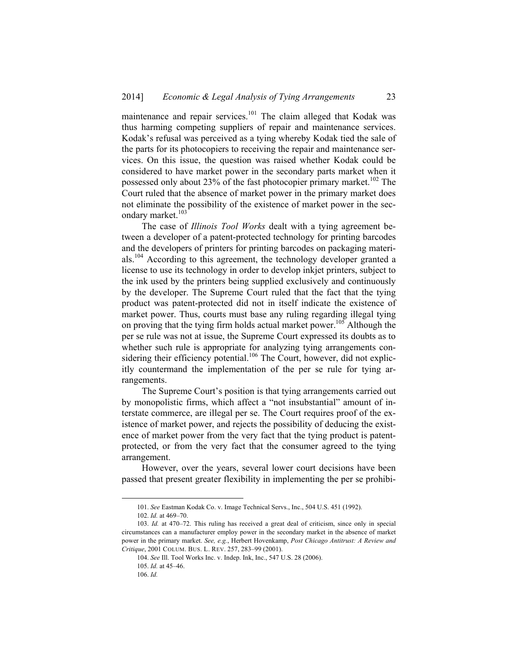maintenance and repair services.<sup>101</sup> The claim alleged that Kodak was thus harming competing suppliers of repair and maintenance services. Kodak's refusal was perceived as a tying whereby Kodak tied the sale of the parts for its photocopiers to receiving the repair and maintenance services. On this issue, the question was raised whether Kodak could be considered to have market power in the secondary parts market when it possessed only about 23% of the fast photocopier primary market.<sup>102</sup> The Court ruled that the absence of market power in the primary market does not eliminate the possibility of the existence of market power in the secondary market.<sup>103</sup>

The case of *Illinois Tool Works* dealt with a tying agreement between a developer of a patent-protected technology for printing barcodes and the developers of printers for printing barcodes on packaging materials.<sup>104</sup> According to this agreement, the technology developer granted a license to use its technology in order to develop inkjet printers, subject to the ink used by the printers being supplied exclusively and continuously by the developer. The Supreme Court ruled that the fact that the tying product was patent-protected did not in itself indicate the existence of market power. Thus, courts must base any ruling regarding illegal tying on proving that the tying firm holds actual market power.<sup>105</sup> Although the per se rule was not at issue, the Supreme Court expressed its doubts as to whether such rule is appropriate for analyzing tying arrangements considering their efficiency potential.<sup>106</sup> The Court, however, did not explicitly countermand the implementation of the per se rule for tying arrangements.

The Supreme Court's position is that tying arrangements carried out by monopolistic firms, which affect a "not insubstantial" amount of interstate commerce, are illegal per se. The Court requires proof of the existence of market power, and rejects the possibility of deducing the existence of market power from the very fact that the tying product is patentprotected, or from the very fact that the consumer agreed to the tying arrangement.

However, over the years, several lower court decisions have been passed that present greater flexibility in implementing the per se prohibi-

 <sup>101.</sup> *See* Eastman Kodak Co. v. Image Technical Servs., Inc., 504 U.S. 451 (1992).

<sup>102.</sup> *Id.* at 469–70.

<sup>103.</sup> *Id.* at 470–72. This ruling has received a great deal of criticism, since only in special circumstances can a manufacturer employ power in the secondary market in the absence of market power in the primary market. *See, e.g.*, Herbert Hovenkamp, *Post Chicago Antitrust: A Review and Critique*, 2001 COLUM. BUS. L. REV. 257, 283–99 (2001).

<sup>104.</sup> *See* Ill. Tool Works Inc. v. Indep. Ink, Inc., 547 U.S. 28 (2006).

<sup>105.</sup> *Id.* at 45–46.

<sup>106.</sup> *Id.*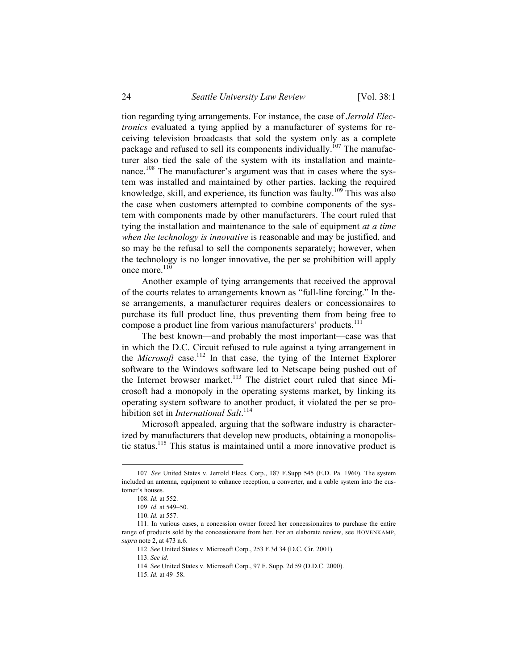tion regarding tying arrangements. For instance, the case of *Jerrold Electronics* evaluated a tying applied by a manufacturer of systems for receiving television broadcasts that sold the system only as a complete package and refused to sell its components individually.<sup>107</sup> The manufacturer also tied the sale of the system with its installation and maintenance.<sup>108</sup> The manufacturer's argument was that in cases where the system was installed and maintained by other parties, lacking the required knowledge, skill, and experience, its function was faulty.<sup>109</sup> This was also the case when customers attempted to combine components of the system with components made by other manufacturers. The court ruled that tying the installation and maintenance to the sale of equipment *at a time when the technology is innovative* is reasonable and may be justified, and so may be the refusal to sell the components separately; however, when the technology is no longer innovative, the per se prohibition will apply once more.<sup>110</sup>

Another example of tying arrangements that received the approval of the courts relates to arrangements known as "full-line forcing." In these arrangements, a manufacturer requires dealers or concessionaires to purchase its full product line, thus preventing them from being free to compose a product line from various manufacturers' products.<sup>111</sup>

The best known—and probably the most important—case was that in which the D.C. Circuit refused to rule against a tying arrangement in the *Microsoft* case.<sup>112</sup> In that case, the tying of the Internet Explorer software to the Windows software led to Netscape being pushed out of the Internet browser market.<sup>113</sup> The district court ruled that since Microsoft had a monopoly in the operating systems market, by linking its operating system software to another product, it violated the per se prohibition set in *International Salt*. 114

Microsoft appealed, arguing that the software industry is characterized by manufacturers that develop new products, obtaining a monopolistic status.115 This status is maintained until a more innovative product is

 <sup>107.</sup> *See* United States v. Jerrold Elecs. Corp., 187 F.Supp 545 (E.D. Pa. 1960). The system included an antenna, equipment to enhance reception, a converter, and a cable system into the customer's houses.

<sup>108.</sup> *Id.* at 552.

<sup>109.</sup> *Id.* at 549–50.

<sup>110.</sup> *Id.* at 557.

 <sup>111.</sup> In various cases, a concession owner forced her concessionaires to purchase the entire range of products sold by the concessionaire from her. For an elaborate review, see HOVENKAMP, *supra* note 2, at 473 n.6.

<sup>112.</sup> *See* United States v. Microsoft Corp., 253 F.3d 34 (D.C. Cir. 2001).

<sup>113.</sup> *See id.*

<sup>114.</sup> *See* United States v. Microsoft Corp., 97 F. Supp. 2d 59 (D.D.C. 2000).

<sup>115.</sup> *Id.* at 49–58.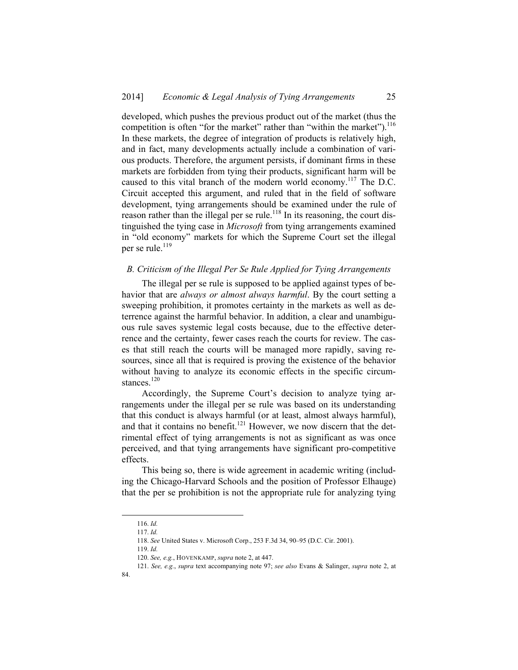developed, which pushes the previous product out of the market (thus the competition is often "for the market" rather than "within the market").  $116$ In these markets, the degree of integration of products is relatively high, and in fact, many developments actually include a combination of various products. Therefore, the argument persists, if dominant firms in these markets are forbidden from tying their products, significant harm will be caused to this vital branch of the modern world economy.<sup>117</sup> The D.C. Circuit accepted this argument, and ruled that in the field of software development, tying arrangements should be examined under the rule of reason rather than the illegal per se rule.<sup>118</sup> In its reasoning, the court distinguished the tying case in *Microsoft* from tying arrangements examined in "old economy" markets for which the Supreme Court set the illegal per se rule.<sup>119</sup>

#### *B. Criticism of the Illegal Per Se Rule Applied for Tying Arrangements*

The illegal per se rule is supposed to be applied against types of behavior that are *always or almost always harmful*. By the court setting a sweeping prohibition, it promotes certainty in the markets as well as deterrence against the harmful behavior. In addition, a clear and unambiguous rule saves systemic legal costs because, due to the effective deterrence and the certainty, fewer cases reach the courts for review. The cases that still reach the courts will be managed more rapidly, saving resources, since all that is required is proving the existence of the behavior without having to analyze its economic effects in the specific circumstances.<sup>120</sup>

Accordingly, the Supreme Court's decision to analyze tying arrangements under the illegal per se rule was based on its understanding that this conduct is always harmful (or at least, almost always harmful), and that it contains no benefit.<sup>121</sup> However, we now discern that the detrimental effect of tying arrangements is not as significant as was once perceived, and that tying arrangements have significant pro-competitive effects.

This being so, there is wide agreement in academic writing (including the Chicago-Harvard Schools and the position of Professor Elhauge) that the per se prohibition is not the appropriate rule for analyzing tying

 <sup>116.</sup> *Id.* 

<sup>117.</sup> *Id.*

<sup>118.</sup> *See* United States v. Microsoft Corp., 253 F.3d 34, 90–95 (D.C. Cir. 2001).

<sup>119.</sup> *Id.*

<sup>120.</sup> *See, e.g.*, HOVENKAMP, *supra* note 2, at 447.

<sup>121.</sup> *See, e.g.*, *supra* text accompanying note 97; *see also* Evans & Salinger, *supra* note 2, at

<sup>84.</sup>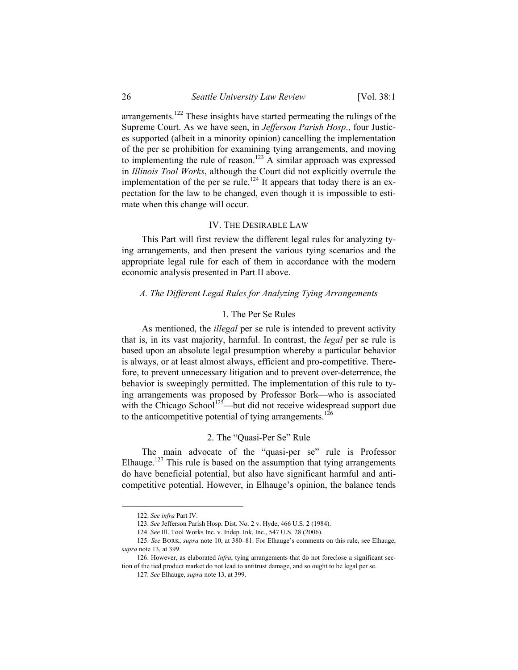arrangements.<sup>122</sup> These insights have started permeating the rulings of the Supreme Court. As we have seen, in *Jefferson Parish Hosp*., four Justices supported (albeit in a minority opinion) cancelling the implementation of the per se prohibition for examining tying arrangements, and moving to implementing the rule of reason.<sup>123</sup> A similar approach was expressed in *Illinois Tool Works*, although the Court did not explicitly overrule the implementation of the per se rule.<sup>124</sup> It appears that today there is an expectation for the law to be changed, even though it is impossible to estimate when this change will occur.

#### IV. THE DESIRABLE LAW

This Part will first review the different legal rules for analyzing tying arrangements, and then present the various tying scenarios and the appropriate legal rule for each of them in accordance with the modern economic analysis presented in Part II above.

#### *A. The Different Legal Rules for Analyzing Tying Arrangements*

#### 1. The Per Se Rules

As mentioned, the *illegal* per se rule is intended to prevent activity that is, in its vast majority, harmful. In contrast, the *legal* per se rule is based upon an absolute legal presumption whereby a particular behavior is always, or at least almost always, efficient and pro-competitive. Therefore, to prevent unnecessary litigation and to prevent over-deterrence, the behavior is sweepingly permitted. The implementation of this rule to tying arrangements was proposed by Professor Bork—who is associated with the Chicago School<sup>125</sup>—but did not receive widespread support due to the anticompetitive potential of tying arrangements.<sup>126</sup>

# 2. The "Quasi-Per Se" Rule

The main advocate of the "quasi-per se" rule is Professor Elhauge.<sup>127</sup> This rule is based on the assumption that tying arrangements do have beneficial potential, but also have significant harmful and anticompetitive potential. However, in Elhauge's opinion, the balance tends

 <sup>122.</sup> *See infra* Part IV.

<sup>123.</sup> *See* Jefferson Parish Hosp. Dist. No. 2 v. Hyde, 466 U.S. 2 (1984).

<sup>124.</sup> *See* Ill. Tool Works Inc. v. Indep. Ink, Inc., 547 U.S. 28 (2006).

<sup>125.</sup> *See* BORK, *supra* note 10, at 380–81. For Elhauge's comments on this rule, see Elhauge, *supra* note 13, at 399.

 <sup>126.</sup> However, as elaborated *infra*, tying arrangements that do not foreclose a significant section of the tied product market do not lead to antitrust damage, and so ought to be legal per se.

<sup>127.</sup> *See* Elhauge, *supra* note 13, at 399.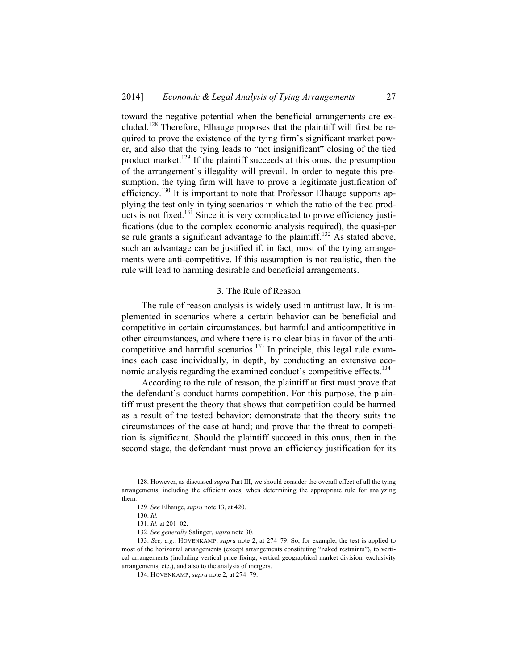toward the negative potential when the beneficial arrangements are excluded.<sup>128</sup> Therefore, Elhauge proposes that the plaintiff will first be required to prove the existence of the tying firm's significant market power, and also that the tying leads to "not insignificant" closing of the tied product market.<sup>129</sup> If the plaintiff succeeds at this onus, the presumption of the arrangement's illegality will prevail. In order to negate this presumption, the tying firm will have to prove a legitimate justification of efficiency.<sup>130</sup> It is important to note that Professor Elhauge supports applying the test only in tying scenarios in which the ratio of the tied products is not fixed.<sup>131</sup> Since it is very complicated to prove efficiency justifications (due to the complex economic analysis required), the quasi-per se rule grants a significant advantage to the plaintiff.<sup>132</sup> As stated above, such an advantage can be justified if, in fact, most of the tying arrangements were anti-competitive. If this assumption is not realistic, then the rule will lead to harming desirable and beneficial arrangements.

#### 3. The Rule of Reason

The rule of reason analysis is widely used in antitrust law. It is implemented in scenarios where a certain behavior can be beneficial and competitive in certain circumstances, but harmful and anticompetitive in other circumstances, and where there is no clear bias in favor of the anticompetitive and harmful scenarios.<sup>133</sup> In principle, this legal rule examines each case individually, in depth, by conducting an extensive economic analysis regarding the examined conduct's competitive effects.<sup>134</sup>

According to the rule of reason, the plaintiff at first must prove that the defendant's conduct harms competition. For this purpose, the plaintiff must present the theory that shows that competition could be harmed as a result of the tested behavior; demonstrate that the theory suits the circumstances of the case at hand; and prove that the threat to competition is significant. Should the plaintiff succeed in this onus, then in the second stage, the defendant must prove an efficiency justification for its

 <sup>128.</sup> However, as discussed *supra* Part III, we should consider the overall effect of all the tying arrangements, including the efficient ones, when determining the appropriate rule for analyzing them.

<sup>129.</sup> *See* Elhauge, *supra* note 13, at 420.

<sup>130.</sup> *Id.*

<sup>131.</sup> *Id.* at 201–02.

<sup>132.</sup> *See generally* Salinger, *supra* note 30.

<sup>133.</sup> *See, e.g.*, HOVENKAMP, *supra* note 2, at 274–79. So, for example, the test is applied to most of the horizontal arrangements (except arrangements constituting "naked restraints"), to vertical arrangements (including vertical price fixing, vertical geographical market division, exclusivity arrangements, etc.), and also to the analysis of mergers.

 <sup>134.</sup> HOVENKAMP, *supra* note 2, at 274–79.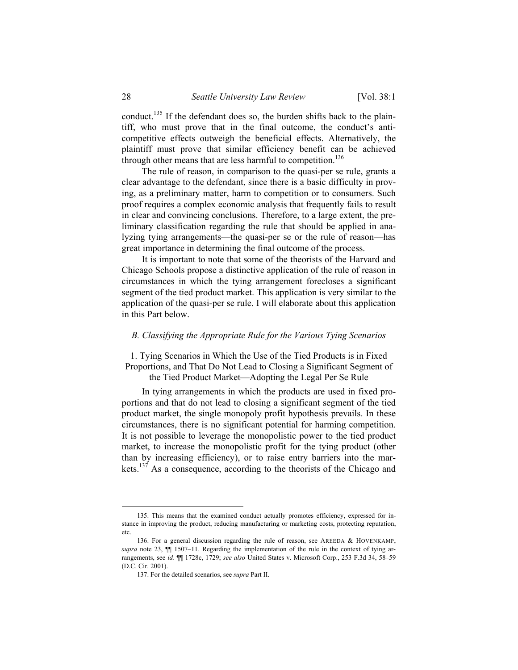conduct.<sup>135</sup> If the defendant does so, the burden shifts back to the plaintiff, who must prove that in the final outcome, the conduct's anticompetitive effects outweigh the beneficial effects. Alternatively, the plaintiff must prove that similar efficiency benefit can be achieved through other means that are less harmful to competition.<sup>136</sup>

The rule of reason, in comparison to the quasi-per se rule, grants a clear advantage to the defendant, since there is a basic difficulty in proving, as a preliminary matter, harm to competition or to consumers. Such proof requires a complex economic analysis that frequently fails to result in clear and convincing conclusions. Therefore, to a large extent, the preliminary classification regarding the rule that should be applied in analyzing tying arrangements—the quasi-per se or the rule of reason—has great importance in determining the final outcome of the process.

It is important to note that some of the theorists of the Harvard and Chicago Schools propose a distinctive application of the rule of reason in circumstances in which the tying arrangement forecloses a significant segment of the tied product market. This application is very similar to the application of the quasi-per se rule. I will elaborate about this application in this Part below.

### *B. Classifying the Appropriate Rule for the Various Tying Scenarios*

1. Tying Scenarios in Which the Use of the Tied Products is in Fixed Proportions, and That Do Not Lead to Closing a Significant Segment of the Tied Product Market—Adopting the Legal Per Se Rule

In tying arrangements in which the products are used in fixed proportions and that do not lead to closing a significant segment of the tied product market, the single monopoly profit hypothesis prevails. In these circumstances, there is no significant potential for harming competition. It is not possible to leverage the monopolistic power to the tied product market, to increase the monopolistic profit for the tying product (other than by increasing efficiency), or to raise entry barriers into the markets.<sup>137</sup> As a consequence, according to the theorists of the Chicago and

 <sup>135.</sup> This means that the examined conduct actually promotes efficiency, expressed for instance in improving the product, reducing manufacturing or marketing costs, protecting reputation, etc.

 <sup>136.</sup> For a general discussion regarding the rule of reason, see AREEDA & HOVENKAMP, *supra* note 23, ¶¶ 1507–11. Regarding the implementation of the rule in the context of tying arrangements, see *id*. ¶¶ 1728c, 1729; *see also* United States v. Microsoft Corp., 253 F.3d 34, 58–59 (D.C. Cir. 2001).

 <sup>137.</sup> For the detailed scenarios, see *supra* Part II.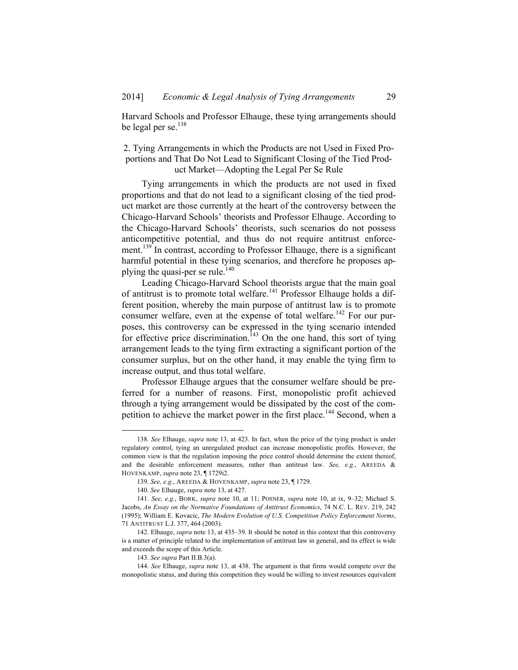Harvard Schools and Professor Elhauge, these tying arrangements should be legal per se. $^{138}$ 

# 2. Tying Arrangements in which the Products are not Used in Fixed Proportions and That Do Not Lead to Significant Closing of the Tied Product Market—Adopting the Legal Per Se Rule

Tying arrangements in which the products are not used in fixed proportions and that do not lead to a significant closing of the tied product market are those currently at the heart of the controversy between the Chicago-Harvard Schools' theorists and Professor Elhauge. According to the Chicago-Harvard Schools' theorists, such scenarios do not possess anticompetitive potential, and thus do not require antitrust enforcement.<sup>139</sup> In contrast, according to Professor Elhauge, there is a significant harmful potential in these tying scenarios, and therefore he proposes applying the quasi-per se rule.<sup>140</sup>

Leading Chicago-Harvard School theorists argue that the main goal of antitrust is to promote total welfare.<sup>141</sup> Professor Elhauge holds a different position, whereby the main purpose of antitrust law is to promote consumer welfare, even at the expense of total welfare.<sup>142</sup> For our purposes, this controversy can be expressed in the tying scenario intended for effective price discrimination.<sup> $143$ </sup> On the one hand, this sort of tying arrangement leads to the tying firm extracting a significant portion of the consumer surplus, but on the other hand, it may enable the tying firm to increase output, and thus total welfare.

Professor Elhauge argues that the consumer welfare should be preferred for a number of reasons. First, monopolistic profit achieved through a tying arrangement would be dissipated by the cost of the competition to achieve the market power in the first place.<sup>144</sup> Second, when a

 <sup>138.</sup> *See* Elhauge, *supra* note 13, at 423. In fact, when the price of the tying product is under regulatory control, tying an unregulated product can increase monopolistic profits. However, the common view is that the regulation imposing the price control should determine the extent thereof, and the desirable enforcement measures, rather than antitrust law. *See, e.g.*, AREEDA & HOVENKAMP, *supra* note 23, ¶ 1729i2.

<sup>139.</sup> *See, e.g.*, AREEDA & HOVENKAMP, *supra* note 23, ¶ 1729.

<sup>140.</sup> *See* Elhauge, *supra* note 13, at 427.

<sup>141.</sup> *See, e.g.*, BORK, *supra* note 10, at 11; POSNER, *supra* note 10, at ix, 9–32; Michael S. Jacobs, *An Essay on the Normative Foundations of Antitrust Economics*, 74 N.C. L. REV. 219, 242 (1995); William E. Kovacic, *The Modern Evolution of U.S. Competition Policy Enforcement Norms*, 71 ANTITRUST L.J. 377, 464 (2003).

 <sup>142.</sup> Elhauge, *supra* note 13, at 435–39. It should be noted in this context that this controversy is a matter of principle related to the implementation of antitrust law in general, and its effect is wide and exceeds the scope of this Article.

<sup>143.</sup> *See supra* Part II.B.3(a).

<sup>144.</sup> *See* Elhauge, *supra* note 13, at 438. The argument is that firms would compete over the monopolistic status, and during this competition they would be willing to invest resources equivalent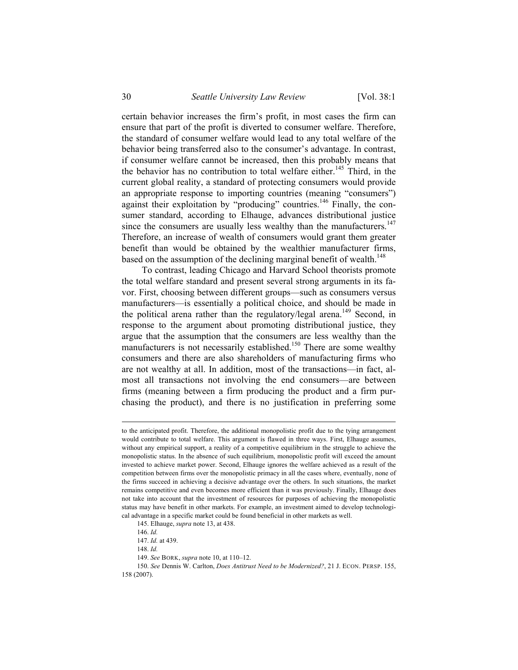certain behavior increases the firm's profit, in most cases the firm can ensure that part of the profit is diverted to consumer welfare. Therefore, the standard of consumer welfare would lead to any total welfare of the behavior being transferred also to the consumer's advantage. In contrast, if consumer welfare cannot be increased, then this probably means that the behavior has no contribution to total welfare either.<sup>145</sup> Third, in the current global reality, a standard of protecting consumers would provide an appropriate response to importing countries (meaning "consumers") against their exploitation by "producing" countries.<sup>146</sup> Finally, the consumer standard, according to Elhauge, advances distributional justice since the consumers are usually less wealthy than the manufacturers.<sup>147</sup> Therefore, an increase of wealth of consumers would grant them greater benefit than would be obtained by the wealthier manufacturer firms, based on the assumption of the declining marginal benefit of wealth.<sup>148</sup>

To contrast, leading Chicago and Harvard School theorists promote the total welfare standard and present several strong arguments in its favor. First, choosing between different groups—such as consumers versus manufacturers—is essentially a political choice, and should be made in the political arena rather than the regulatory/legal arena.<sup>149</sup> Second, in response to the argument about promoting distributional justice, they argue that the assumption that the consumers are less wealthy than the manufacturers is not necessarily established.<sup>150</sup> There are some wealthy consumers and there are also shareholders of manufacturing firms who are not wealthy at all. In addition, most of the transactions—in fact, almost all transactions not involving the end consumers—are between firms (meaning between a firm producing the product and a firm purchasing the product), and there is no justification in preferring some

1

to the anticipated profit. Therefore, the additional monopolistic profit due to the tying arrangement would contribute to total welfare. This argument is flawed in three ways. First, Elhauge assumes, without any empirical support, a reality of a competitive equilibrium in the struggle to achieve the monopolistic status. In the absence of such equilibrium, monopolistic profit will exceed the amount invested to achieve market power. Second, Elhauge ignores the welfare achieved as a result of the competition between firms over the monopolistic primacy in all the cases where, eventually, none of the firms succeed in achieving a decisive advantage over the others. In such situations, the market remains competitive and even becomes more efficient than it was previously. Finally, Elhauge does not take into account that the investment of resources for purposes of achieving the monopolistic status may have benefit in other markets. For example, an investment aimed to develop technological advantage in a specific market could be found beneficial in other markets as well.

 <sup>145.</sup> Elhauge, *supra* note 13, at 438.

<sup>146.</sup> *Id.*

<sup>147.</sup> *Id.* at 439.

<sup>148.</sup> *Id.*

<sup>149.</sup> *See* BORK, *supra* note 10, at 110–12.

<sup>150.</sup> *See* Dennis W. Carlton, *Does Antitrust Need to be Modernized?*, 21 J. ECON. PERSP. 155, 158 (2007).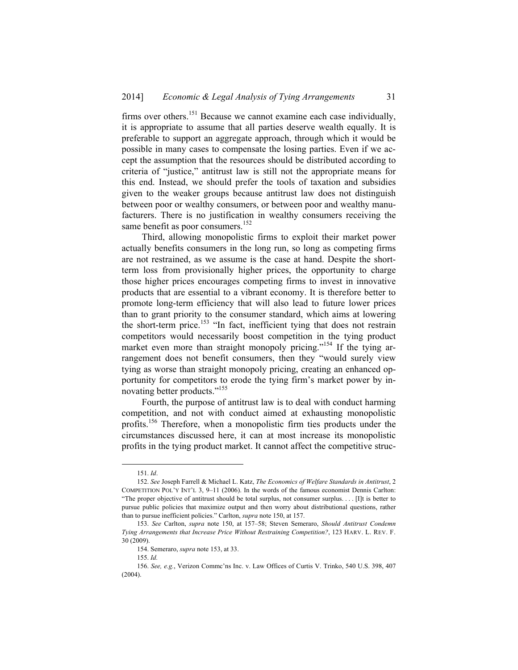firms over others.151 Because we cannot examine each case individually, it is appropriate to assume that all parties deserve wealth equally. It is preferable to support an aggregate approach, through which it would be possible in many cases to compensate the losing parties. Even if we accept the assumption that the resources should be distributed according to criteria of "justice," antitrust law is still not the appropriate means for this end. Instead, we should prefer the tools of taxation and subsidies given to the weaker groups because antitrust law does not distinguish between poor or wealthy consumers, or between poor and wealthy manufacturers. There is no justification in wealthy consumers receiving the same benefit as poor consumers.<sup>152</sup>

Third, allowing monopolistic firms to exploit their market power actually benefits consumers in the long run, so long as competing firms are not restrained, as we assume is the case at hand. Despite the shortterm loss from provisionally higher prices, the opportunity to charge those higher prices encourages competing firms to invest in innovative products that are essential to a vibrant economy. It is therefore better to promote long-term efficiency that will also lead to future lower prices than to grant priority to the consumer standard, which aims at lowering the short-term price.<sup>153</sup> "In fact, inefficient tying that does not restrain competitors would necessarily boost competition in the tying product market even more than straight monopoly pricing."<sup>154</sup> If the tying arrangement does not benefit consumers, then they "would surely view tying as worse than straight monopoly pricing, creating an enhanced opportunity for competitors to erode the tying firm's market power by innovating better products."<sup>155</sup>

Fourth, the purpose of antitrust law is to deal with conduct harming competition, and not with conduct aimed at exhausting monopolistic profits.<sup>156</sup> Therefore, when a monopolistic firm ties products under the circumstances discussed here, it can at most increase its monopolistic profits in the tying product market. It cannot affect the competitive struc-

 <sup>151.</sup> *Id*.

<sup>152.</sup> *See* Joseph Farrell & Michael L. Katz, *The Economics of Welfare Standards in Antitrust*, 2 COMPETITION POL'Y INT'L 3, 9–11 (2006). In the words of the famous economist Dennis Carlton: "The proper objective of antitrust should be total surplus, not consumer surplus. . . . [I]t is better to pursue public policies that maximize output and then worry about distributional questions, rather than to pursue inefficient policies." Carlton, *supra* note 150, at 157.

<sup>153.</sup> *See* Carlton, *supra* note 150, at 157–58; Steven Semeraro, *Should Antitrust Condemn Tying Arrangements that Increase Price Without Restraining Competition?*, 123 HARV. L. REV. F. 30 (2009).

 <sup>154.</sup> Semeraro, *supra* note 153, at 33.

<sup>155.</sup> *Id.*

<sup>156.</sup> *See, e.g.*, Verizon Commc'ns Inc. v. Law Offices of Curtis V. Trinko, 540 U.S. 398, 407 (2004).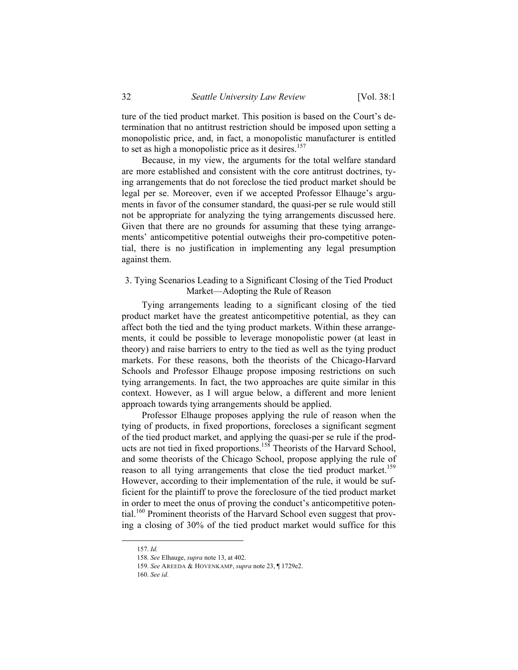ture of the tied product market. This position is based on the Court's determination that no antitrust restriction should be imposed upon setting a monopolistic price, and, in fact, a monopolistic manufacturer is entitled to set as high a monopolistic price as it desires.<sup>157</sup>

Because, in my view, the arguments for the total welfare standard are more established and consistent with the core antitrust doctrines, tying arrangements that do not foreclose the tied product market should be legal per se. Moreover, even if we accepted Professor Elhauge's arguments in favor of the consumer standard, the quasi-per se rule would still not be appropriate for analyzing the tying arrangements discussed here. Given that there are no grounds for assuming that these tying arrangements' anticompetitive potential outweighs their pro-competitive potential, there is no justification in implementing any legal presumption against them.

### 3. Tying Scenarios Leading to a Significant Closing of the Tied Product Market—Adopting the Rule of Reason

Tying arrangements leading to a significant closing of the tied product market have the greatest anticompetitive potential, as they can affect both the tied and the tying product markets. Within these arrangements, it could be possible to leverage monopolistic power (at least in theory) and raise barriers to entry to the tied as well as the tying product markets. For these reasons, both the theorists of the Chicago-Harvard Schools and Professor Elhauge propose imposing restrictions on such tying arrangements. In fact, the two approaches are quite similar in this context. However, as I will argue below, a different and more lenient approach towards tying arrangements should be applied.

Professor Elhauge proposes applying the rule of reason when the tying of products, in fixed proportions, forecloses a significant segment of the tied product market, and applying the quasi-per se rule if the products are not tied in fixed proportions.<sup>158</sup> Theorists of the Harvard School, and some theorists of the Chicago School, propose applying the rule of reason to all tying arrangements that close the tied product market.<sup>159</sup> However, according to their implementation of the rule, it would be sufficient for the plaintiff to prove the foreclosure of the tied product market in order to meet the onus of proving the conduct's anticompetitive potential.<sup>160</sup> Prominent theorists of the Harvard School even suggest that proving a closing of 30% of the tied product market would suffice for this

 <sup>157.</sup> *Id.*

<sup>158.</sup> *See* Elhauge, *supra* note 13, at 402.

<sup>159.</sup> *See* AREEDA & HOVENKAMP, *supra* note 23, ¶ 1729e2.

<sup>160.</sup> *See id.*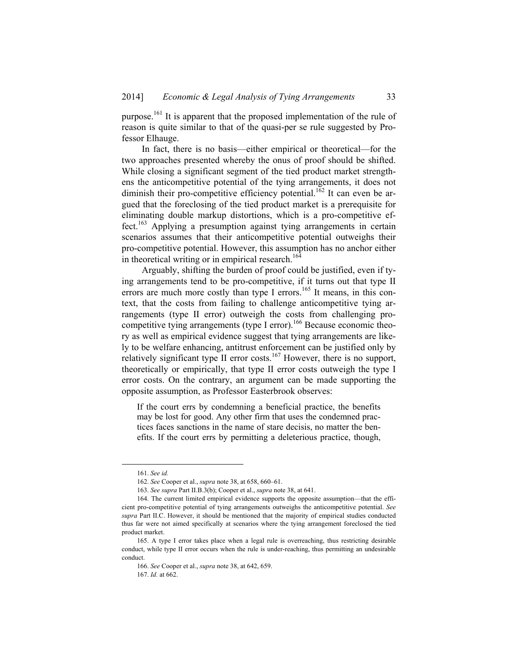purpose.161 It is apparent that the proposed implementation of the rule of reason is quite similar to that of the quasi-per se rule suggested by Professor Elhauge.

In fact, there is no basis—either empirical or theoretical—for the two approaches presented whereby the onus of proof should be shifted. While closing a significant segment of the tied product market strengthens the anticompetitive potential of the tying arrangements, it does not diminish their pro-competitive efficiency potential.<sup>162</sup> It can even be argued that the foreclosing of the tied product market is a prerequisite for eliminating double markup distortions, which is a pro-competitive effect.<sup>163</sup> Applying a presumption against tying arrangements in certain scenarios assumes that their anticompetitive potential outweighs their pro-competitive potential. However, this assumption has no anchor either in theoretical writing or in empirical research.<sup>164</sup>

Arguably, shifting the burden of proof could be justified, even if tying arrangements tend to be pro-competitive, if it turns out that type II errors are much more costly than type I errors.<sup>165</sup> It means, in this context, that the costs from failing to challenge anticompetitive tying arrangements (type II error) outweigh the costs from challenging procompetitive tying arrangements (type I error).<sup>166</sup> Because economic theory as well as empirical evidence suggest that tying arrangements are likely to be welfare enhancing, antitrust enforcement can be justified only by relatively significant type II error costs.<sup>167</sup> However, there is no support, theoretically or empirically, that type II error costs outweigh the type I error costs. On the contrary, an argument can be made supporting the opposite assumption, as Professor Easterbrook observes:

If the court errs by condemning a beneficial practice, the benefits may be lost for good. Any other firm that uses the condemned practices faces sanctions in the name of stare decisis, no matter the benefits. If the court errs by permitting a deleterious practice, though,

 <sup>161.</sup> *See id.*

<sup>162.</sup> *See* Cooper et al., *supra* note 38, at 658, 660–61.

<sup>163.</sup> *See supra* Part II.B.3(b); Cooper et al., *supra* note 38, at 641.

 <sup>164.</sup> The current limited empirical evidence supports the opposite assumption—that the efficient pro-competitive potential of tying arrangements outweighs the anticompetitive potential. *See supra* Part II.C. However, it should be mentioned that the majority of empirical studies conducted thus far were not aimed specifically at scenarios where the tying arrangement foreclosed the tied product market.

 <sup>165.</sup> A type I error takes place when a legal rule is overreaching, thus restricting desirable conduct, while type II error occurs when the rule is under-reaching, thus permitting an undesirable conduct.

<sup>166.</sup> *See* Cooper et al., *supra* note 38, at 642, 659.

<sup>167.</sup> *Id.* at 662.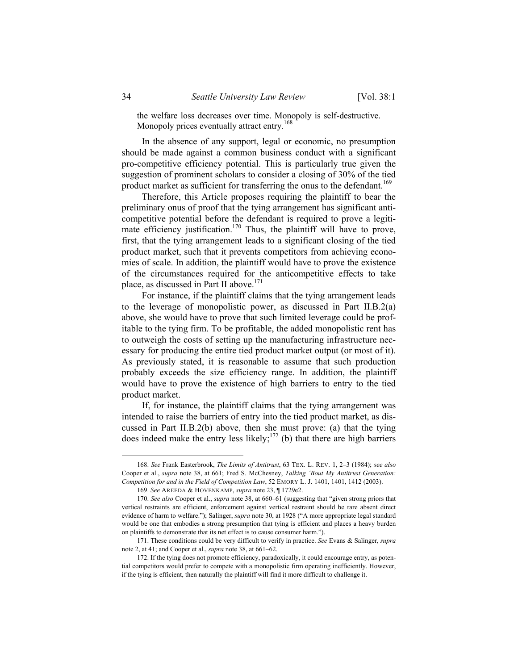the welfare loss decreases over time. Monopoly is self-destructive. Monopoly prices eventually attract entry.<sup>168</sup>

In the absence of any support, legal or economic, no presumption should be made against a common business conduct with a significant pro-competitive efficiency potential. This is particularly true given the suggestion of prominent scholars to consider a closing of 30% of the tied product market as sufficient for transferring the onus to the defendant.<sup>169</sup>

Therefore, this Article proposes requiring the plaintiff to bear the preliminary onus of proof that the tying arrangement has significant anticompetitive potential before the defendant is required to prove a legitimate efficiency justification.<sup>170</sup> Thus, the plaintiff will have to prove, first, that the tying arrangement leads to a significant closing of the tied product market, such that it prevents competitors from achieving economies of scale. In addition, the plaintiff would have to prove the existence of the circumstances required for the anticompetitive effects to take place, as discussed in Part II above.<sup>171</sup>

For instance, if the plaintiff claims that the tying arrangement leads to the leverage of monopolistic power, as discussed in Part II.B.2(a) above, she would have to prove that such limited leverage could be profitable to the tying firm. To be profitable, the added monopolistic rent has to outweigh the costs of setting up the manufacturing infrastructure necessary for producing the entire tied product market output (or most of it). As previously stated, it is reasonable to assume that such production probably exceeds the size efficiency range. In addition, the plaintiff would have to prove the existence of high barriers to entry to the tied product market.

If, for instance, the plaintiff claims that the tying arrangement was intended to raise the barriers of entry into the tied product market, as discussed in Part II.B.2(b) above, then she must prove: (a) that the tying does indeed make the entry less likely;<sup>172</sup> (b) that there are high barriers

 <sup>168.</sup> *See* Frank Easterbrook, *The Limits of Antitrust*, 63 TEX. L. REV. 1, 2–3 (1984); *see also*  Cooper et al., *supra* note 38, at 661; Fred S. McChesney, *Talking 'Bout My Antitrust Generation: Competition for and in the Field of Competition Law*, 52 EMORY L. J. 1401, 1401, 1412 (2003).

<sup>169.</sup> *See* AREEDA & HOVENKAMP, *supra* note 23, ¶ 1729e2.

<sup>170.</sup> *See also* Cooper et al., *supra* note 38, at 660–61 (suggesting that "given strong priors that vertical restraints are efficient, enforcement against vertical restraint should be rare absent direct evidence of harm to welfare."); Salinger, *supra* note 30, at 1928 ("A more appropriate legal standard would be one that embodies a strong presumption that tying is efficient and places a heavy burden on plaintiffs to demonstrate that its net effect is to cause consumer harm.").

 <sup>171.</sup> These conditions could be very difficult to verify in practice. *See* Evans & Salinger, *supra* note 2, at 41; and Cooper et al., *supra* note 38, at 661–62.

 <sup>172.</sup> If the tying does not promote efficiency, paradoxically, it could encourage entry, as potential competitors would prefer to compete with a monopolistic firm operating inefficiently. However, if the tying is efficient, then naturally the plaintiff will find it more difficult to challenge it.